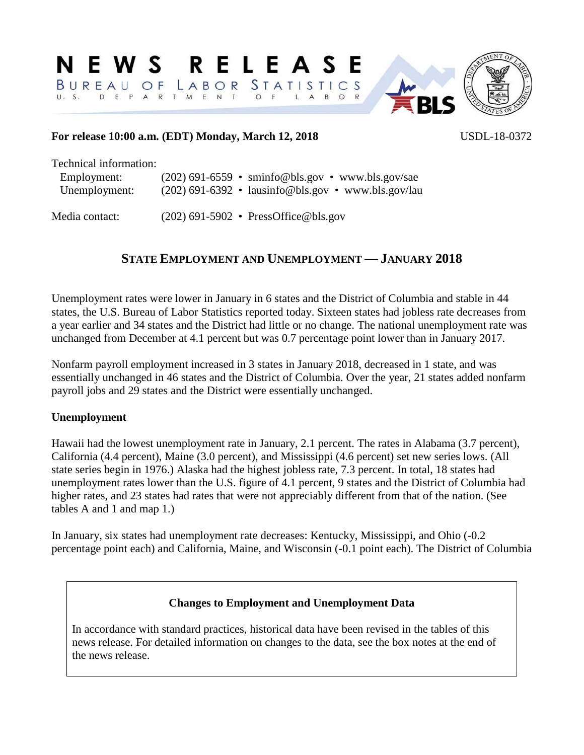#### **RELEAS** N E W S F **STATISTICS** LABOR  $BUPFAU$ O F D E P T M E N T  $\Omega$



## **For release 10:00 a.m. (EDT) Monday, March 12, 2018** USDL-18-0372

| Technical information: |                                                       |
|------------------------|-------------------------------------------------------|
| Employment:            | $(202)$ 691-6559 • sminfo@bls.gov • www.bls.gov/sae   |
| Unemployment:          | $(202)$ 691-6392 • lausinfo@bls.gov • www.bls.gov/lau |
|                        |                                                       |

Media contact: (202) 691-5902 • PressOffice@bls.gov

## **STATE EMPLOYMENT AND UNEMPLOYMENT — JANUARY 2018**

Unemployment rates were lower in January in 6 states and the District of Columbia and stable in 44 states, the U.S. Bureau of Labor Statistics reported today. Sixteen states had jobless rate decreases from a year earlier and 34 states and the District had little or no change. The national unemployment rate was unchanged from December at 4.1 percent but was 0.7 percentage point lower than in January 2017.

Nonfarm payroll employment increased in 3 states in January 2018, decreased in 1 state, and was essentially unchanged in 46 states and the District of Columbia. Over the year, 21 states added nonfarm payroll jobs and 29 states and the District were essentially unchanged.

## **Unemployment**

Hawaii had the lowest unemployment rate in January, 2.1 percent. The rates in Alabama (3.7 percent), California (4.4 percent), Maine (3.0 percent), and Mississippi (4.6 percent) set new series lows. (All state series begin in 1976.) Alaska had the highest jobless rate, 7.3 percent. In total, 18 states had unemployment rates lower than the U.S. figure of 4.1 percent, 9 states and the District of Columbia had higher rates, and 23 states had rates that were not appreciably different from that of the nation. (See tables A and 1 and map 1.)

In January, six states had unemployment rate decreases: Kentucky, Mississippi, and Ohio (-0.2 percentage point each) and California, Maine, and Wisconsin (-0.1 point each). The District of Columbia

## **Changes to Employment and Unemployment Data**

In accordance with standard practices, historical data have been revised in the tables of this news release. For detailed information on changes to the data, see the box notes at the end of the news release.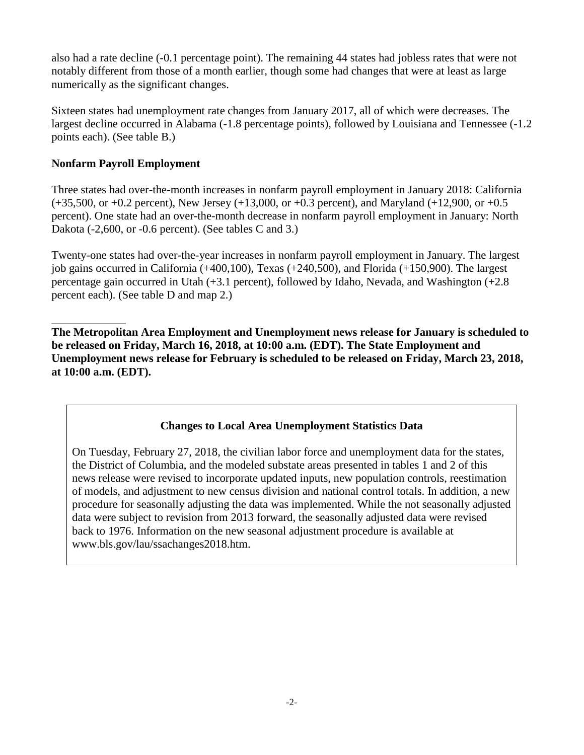also had a rate decline (-0.1 percentage point). The remaining 44 states had jobless rates that were not notably different from those of a month earlier, though some had changes that were at least as large numerically as the significant changes.

Sixteen states had unemployment rate changes from January 2017, all of which were decreases. The largest decline occurred in Alabama (-1.8 percentage points), followed by Louisiana and Tennessee (-1.2 points each). (See table B.)

## **Nonfarm Payroll Employment**

Three states had over-the-month increases in nonfarm payroll employment in January 2018: California  $(+35,500, \text{ or } +0.2 \text{ percent})$ , New Jersey  $(+13,000, \text{ or } +0.3 \text{ percent})$ , and Maryland  $(+12,900, \text{ or } +0.5 \text{ cm})$ percent). One state had an over-the-month decrease in nonfarm payroll employment in January: North Dakota (-2,600, or -0.6 percent). (See tables C and 3.)

Twenty-one states had over-the-year increases in nonfarm payroll employment in January. The largest job gains occurred in California (+400,100), Texas (+240,500), and Florida (+150,900). The largest percentage gain occurred in Utah (+3.1 percent), followed by Idaho, Nevada, and Washington (+2.8 percent each). (See table D and map 2.)

\_\_\_\_\_\_\_\_\_\_\_\_\_ **The Metropolitan Area Employment and Unemployment news release for January is scheduled to be released on Friday, March 16, 2018, at 10:00 a.m. (EDT). The State Employment and Unemployment news release for February is scheduled to be released on Friday, March 23, 2018, at 10:00 a.m. (EDT).**

## **Changes to Local Area Unemployment Statistics Data**

On Tuesday, February 27, 2018, the civilian labor force and unemployment data for the states, the District of Columbia, and the modeled substate areas presented in tables 1 and 2 of this news release were revised to incorporate updated inputs, new population controls, reestimation of models, and adjustment to new census division and national control totals. In addition, a new procedure for seasonally adjusting the data was implemented. While the not seasonally adjusted data were subject to revision from 2013 forward, the seasonally adjusted data were revised back to 1976. Information on the new seasonal adjustment procedure is available at www.bls.gov/lau/ssachanges2018.htm.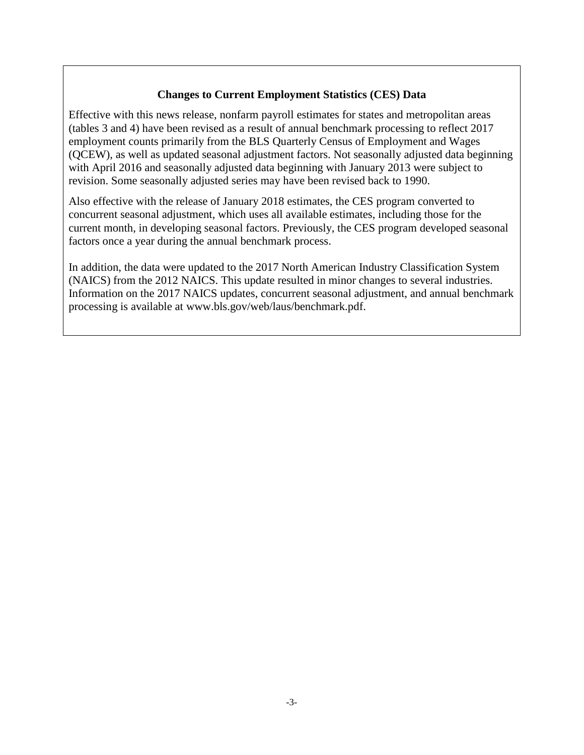## **Changes to Current Employment Statistics (CES) Data**

Effective with this news release, nonfarm payroll estimates for states and metropolitan areas (tables 3 and 4) have been revised as a result of annual benchmark processing to reflect 2017 employment counts primarily from the BLS Quarterly Census of Employment and Wages (QCEW), as well as updated seasonal adjustment factors. Not seasonally adjusted data beginning with April 2016 and seasonally adjusted data beginning with January 2013 were subject to revision. Some seasonally adjusted series may have been revised back to 1990.

Also effective with the release of January 2018 estimates, the CES program converted to concurrent seasonal adjustment, which uses all available estimates, including those for the current month, in developing seasonal factors. Previously, the CES program developed seasonal factors once a year during the annual benchmark process.

In addition, the data were updated to the 2017 North American Industry Classification System (NAICS) from the 2012 NAICS. This update resulted in minor changes to several industries. Information on the 2017 NAICS updates, concurrent seasonal adjustment, and annual benchmark processing is available at www.bls.gov/web/laus/benchmark.pdf.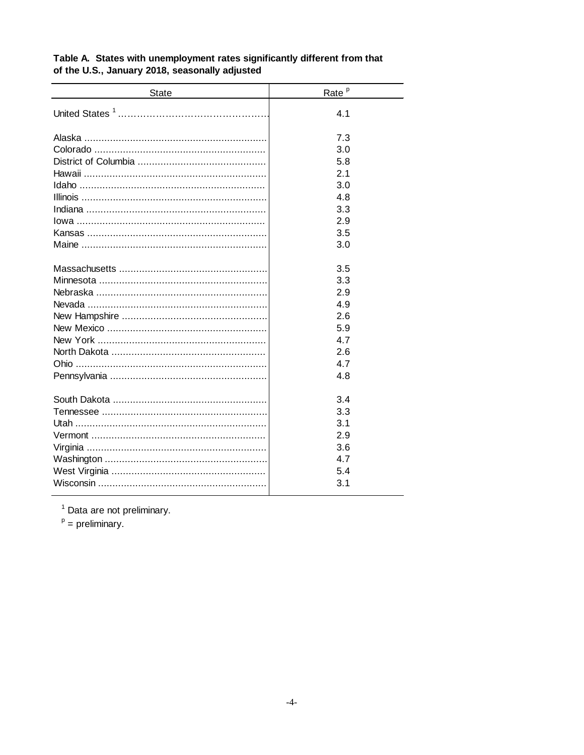| <b>State</b> | Rate <sup>p</sup> |
|--------------|-------------------|
|              | 4.1               |
|              | 7.3               |
|              | 3.0               |
|              | 5.8               |
|              | 2.1               |
|              | 3.0               |
|              | 4.8               |
|              | 3.3               |
|              | 2.9               |
|              | 3.5               |
|              | 3.0               |
|              | 3.5               |
|              | 3.3               |
|              | 2.9               |
|              | 4.9               |
|              | 2.6               |
|              | 5.9               |
|              | 4.7               |
|              | 2.6               |
|              | 4.7               |
|              | 4.8               |
|              |                   |
|              | 3.4               |
|              | 3.3               |
|              | 3.1               |
|              | 2.9               |
|              | 3.6               |
|              | 4.7               |
|              | 5.4               |
|              | 3.1               |

## Table A. States with unemployment rates significantly different from that of the U.S., January 2018, seasonally adjusted

 $1$  Data are not preliminary.

 $P =$  preliminary.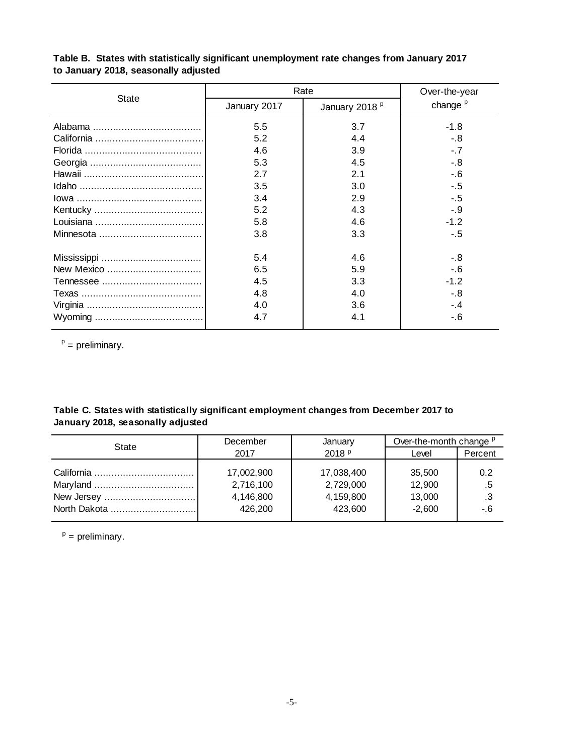| <b>State</b> |              | Rate                      | Over-the-year       |  |  |
|--------------|--------------|---------------------------|---------------------|--|--|
|              | January 2017 | January 2018 <sup>P</sup> | change <sup>p</sup> |  |  |
|              | 5.5          | 3.7                       | $-1.8$              |  |  |
|              | 5.2          | 4.4                       | -.8                 |  |  |
|              | 4.6          | 3.9                       | $-.7$               |  |  |
|              | 5.3          | 4.5                       | $-8$                |  |  |
|              | 2.7          | 2.1                       | $-6$                |  |  |
|              | 3.5          | 3.0                       | $-5$                |  |  |
|              | 3.4          | 2.9                       | $-5$                |  |  |
|              | 5.2          | 4.3                       | $-.9$               |  |  |
|              | 5.8          | 4.6                       | $-1.2$              |  |  |
|              | 3.8          | 3.3                       | $-.5$               |  |  |
|              | 5.4          | 4.6                       | $-8$                |  |  |
|              | 6.5          | 5.9                       | $-6$                |  |  |
|              | 4.5          | 3.3                       | $-1.2$              |  |  |
|              | 4.8          | 4.0                       | $-8$                |  |  |
|              | 4.0          | 3.6                       | $-4$                |  |  |
|              | 4.7          | 4.1                       | $-6$                |  |  |

## **Table B. States with statistically significant unemployment rate changes from January 2017 to January 2018, seasonally adjusted**

 $p =$  preliminary.

## **Table C. States with statistically significant employment changes from December 2017 to January 2018, seasonally adjusted**

| State        | December                                        | January                                         | Over-the-month change <sup>p</sup>     |                        |  |  |
|--------------|-------------------------------------------------|-------------------------------------------------|----------------------------------------|------------------------|--|--|
|              | 2017                                            | 2018 <sub>P</sub>                               | Level                                  | Percent                |  |  |
| North Dakota | 17,002,900<br>2,716,100<br>4,146,800<br>426,200 | 17,038,400<br>2,729,000<br>4,159,800<br>423,600 | 35,500<br>12,900<br>13,000<br>$-2.600$ | 0.2<br>.5<br>.3<br>-.6 |  |  |

 $p =$  preliminary.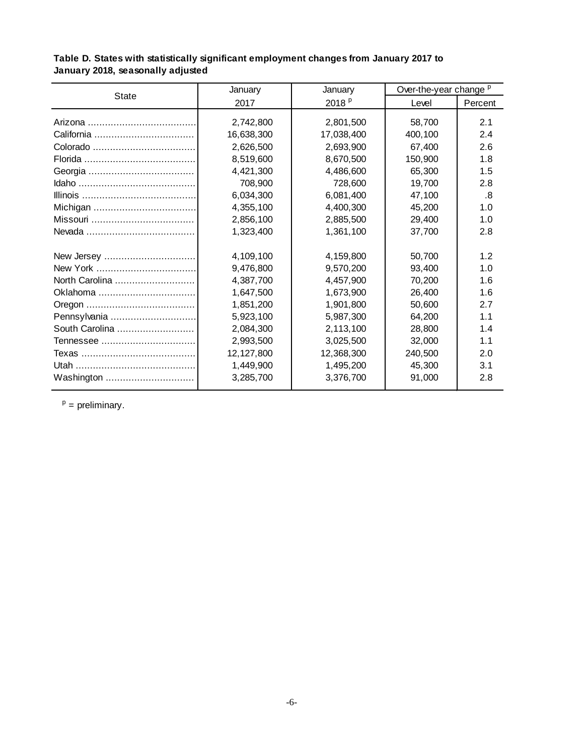| State          | January    | January           | Over-the-year change <sup>p</sup> |         |  |
|----------------|------------|-------------------|-----------------------------------|---------|--|
|                | 2017       | 2018 <sup>P</sup> | Level                             | Percent |  |
|                |            |                   |                                   | 2.1     |  |
|                | 2,742,800  | 2,801,500         | 58,700                            |         |  |
|                | 16,638,300 | 17,038,400        | 400,100                           | 2.4     |  |
|                | 2,626,500  | 2,693,900         | 67,400                            | 2.6     |  |
|                | 8,519,600  | 8,670,500         | 150,900                           | 1.8     |  |
|                | 4,421,300  | 4,486,600         | 65,300                            | 1.5     |  |
|                | 708,900    | 728,600           | 19,700                            | 2.8     |  |
|                | 6,034,300  | 6,081,400         | 47,100                            | .8      |  |
|                | 4,355,100  | 4,400,300         | 45,200                            | 1.0     |  |
|                | 2,856,100  | 2,885,500         | 29,400                            | 1.0     |  |
|                | 1,323,400  | 1,361,100         | 37,700                            | 2.8     |  |
|                | 4,109,100  | 4,159,800         | 50,700                            | 1.2     |  |
|                | 9,476,800  | 9,570,200         | 93,400                            | 1.0     |  |
| North Carolina | 4,387,700  | 4,457,900         | 70,200                            | 1.6     |  |
| Oklahoma       | 1,647,500  | 1,673,900         | 26,400                            | 1.6     |  |
|                | 1,851,200  | 1,901,800         | 50,600                            | 2.7     |  |
| Pennsylvania   | 5,923,100  | 5,987,300         | 64,200                            | 1.1     |  |
| South Carolina | 2,084,300  | 2,113,100         | 28,800                            | 1.4     |  |
|                | 2,993,500  | 3,025,500         | 32,000                            | 1.1     |  |
|                | 12,127,800 | 12,368,300        | 240,500                           | 2.0     |  |
|                | 1,449,900  | 1,495,200         | 45,300                            | 3.1     |  |
| Washington     | 3,285,700  | 3,376,700         | 91,000                            | 2.8     |  |

**Table D. States with statistically significant employment changes from January 2017 to January 2018, seasonally adjusted**

 $p =$  preliminary.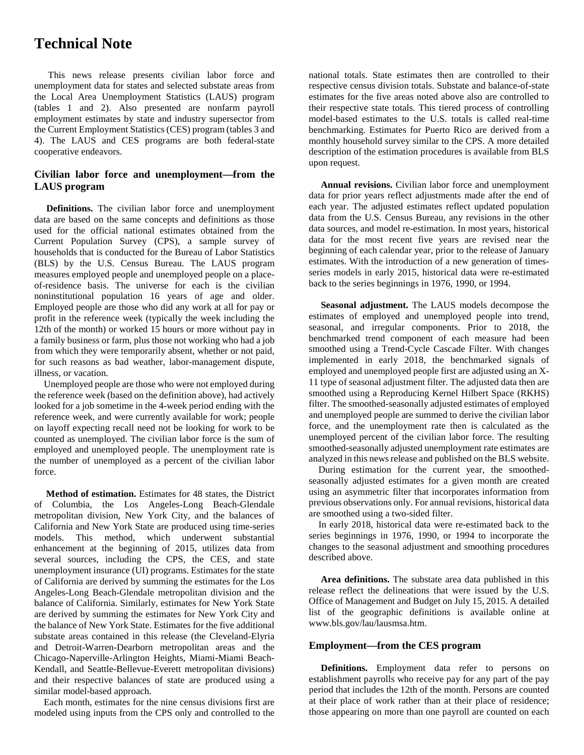## **Technical Note**

This news release presents civilian labor force and unemployment data for states and selected substate areas from the Local Area Unemployment Statistics (LAUS) program (tables 1 and 2). Also presented are nonfarm payroll employment estimates by state and industry supersector from the Current Employment Statistics (CES) program (tables 3 and 4). The LAUS and CES programs are both federal-state cooperative endeavors.

### **Civilian labor force and unemployment—from the LAUS program**

 **Definitions.** The civilian labor force and unemployment data are based on the same concepts and definitions as those used for the official national estimates obtained from the Current Population Survey (CPS), a sample survey of households that is conducted for the Bureau of Labor Statistics (BLS) by the U.S. Census Bureau. The LAUS program measures employed people and unemployed people on a placeof-residence basis. The universe for each is the civilian noninstitutional population 16 years of age and older. Employed people are those who did any work at all for pay or profit in the reference week (typically the week including the 12th of the month) or worked 15 hours or more without pay in a family business or farm, plus those not working who had a job from which they were temporarily absent, whether or not paid, for such reasons as bad weather, labor-management dispute, illness, or vacation.

 Unemployed people are those who were not employed during the reference week (based on the definition above), had actively looked for a job sometime in the 4-week period ending with the reference week, and were currently available for work; people on layoff expecting recall need not be looking for work to be counted as unemployed. The civilian labor force is the sum of employed and unemployed people. The unemployment rate is the number of unemployed as a percent of the civilian labor force.

 **Method of estimation.** Estimates for 48 states, the District of Columbia, the Los Angeles-Long Beach-Glendale metropolitan division, New York City, and the balances of California and New York State are produced using time-series models. This method, which underwent substantial enhancement at the beginning of 2015, utilizes data from several sources, including the CPS, the CES, and state unemployment insurance (UI) programs. Estimates for the state of California are derived by summing the estimates for the Los Angeles-Long Beach-Glendale metropolitan division and the balance of California. Similarly, estimates for New York State are derived by summing the estimates for New York City and the balance of New York State. Estimates for the five additional substate areas contained in this release (the Cleveland-Elyria and Detroit-Warren-Dearborn metropolitan areas and the Chicago-Naperville-Arlington Heights, Miami-Miami Beach-Kendall, and Seattle-Bellevue-Everett metropolitan divisions) and their respective balances of state are produced using a similar model-based approach.

 Each month, estimates for the nine census divisions first are modeled using inputs from the CPS only and controlled to the

national totals. State estimates then are controlled to their respective census division totals. Substate and balance-of-state estimates for the five areas noted above also are controlled to their respective state totals. This tiered process of controlling model-based estimates to the U.S. totals is called real-time benchmarking. Estimates for Puerto Rico are derived from a monthly household survey similar to the CPS. A more detailed description of the estimation procedures is available from BLS upon request.

 **Annual revisions.** Civilian labor force and unemployment data for prior years reflect adjustments made after the end of each year. The adjusted estimates reflect updated population data from the U.S. Census Bureau, any revisions in the other data sources, and model re-estimation. In most years, historical data for the most recent five years are revised near the beginning of each calendar year, prior to the release of January estimates. With the introduction of a new generation of timesseries models in early 2015, historical data were re-estimated back to the series beginnings in 1976, 1990, or 1994.

 **Seasonal adjustment.** The LAUS models decompose the estimates of employed and unemployed people into trend, seasonal, and irregular components. Prior to 2018, the benchmarked trend component of each measure had been smoothed using a Trend-Cycle Cascade Filter. With changes implemented in early 2018, the benchmarked signals of employed and unemployed people first are adjusted using an X-11 type of seasonal adjustment filter. The adjusted data then are smoothed using a Reproducing Kernel Hilbert Space (RKHS) filter. The smoothed-seasonally adjusted estimates of employed and unemployed people are summed to derive the civilian labor force, and the unemployment rate then is calculated as the unemployed percent of the civilian labor force. The resulting smoothed-seasonally adjusted unemployment rate estimates are analyzed in this news release and published on the BLS website.

 During estimation for the current year, the smoothedseasonally adjusted estimates for a given month are created using an asymmetric filter that incorporates information from previous observations only. For annual revisions, historical data are smoothed using a two-sided filter.

 In early 2018, historical data were re-estimated back to the series beginnings in 1976, 1990, or 1994 to incorporate the changes to the seasonal adjustment and smoothing procedures described above.

 **Area definitions.** The substate area data published in this release reflect the delineations that were issued by the U.S. Office of Management and Budget on July 15, 2015. A detailed list of the geographic definitions is available online at www.bls.gov/lau/lausmsa.htm.

#### **Employment—from the CES program**

 **Definitions.** Employment data refer to persons on establishment payrolls who receive pay for any part of the pay period that includes the 12th of the month. Persons are counted at their place of work rather than at their place of residence; those appearing on more than one payroll are counted on each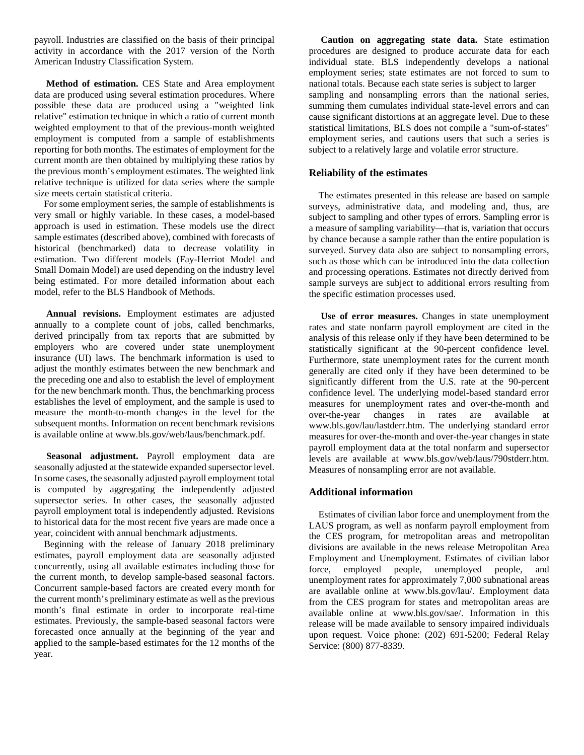payroll. Industries are classified on the basis of their principal activity in accordance with the 2017 version of the North American Industry Classification System.

 **Method of estimation.** CES State and Area employment data are produced using several estimation procedures. Where possible these data are produced using a "weighted link relative" estimation technique in which a ratio of current month weighted employment to that of the previous-month weighted employment is computed from a sample of establishments reporting for both months. The estimates of employment for the current month are then obtained by multiplying these ratios by the previous month's employment estimates. The weighted link relative technique is utilized for data series where the sample size meets certain statistical criteria.

 For some employment series, the sample of establishments is very small or highly variable. In these cases, a model-based approach is used in estimation. These models use the direct sample estimates (described above), combined with forecasts of historical (benchmarked) data to decrease volatility in estimation. Two different models (Fay-Herriot Model and Small Domain Model) are used depending on the industry level being estimated. For more detailed information about each model, refer to the BLS Handbook of Methods.

 **Annual revisions.** Employment estimates are adjusted annually to a complete count of jobs, called benchmarks, derived principally from tax reports that are submitted by employers who are covered under state unemployment insurance (UI) laws. The benchmark information is used to adjust the monthly estimates between the new benchmark and the preceding one and also to establish the level of employment for the new benchmark month. Thus, the benchmarking process establishes the level of employment, and the sample is used to measure the month-to-month changes in the level for the subsequent months. Information on recent benchmark revisions is available online at www.bls.gov/web/laus/benchmark.pdf.

 **Seasonal adjustment.** Payroll employment data are seasonally adjusted at the statewide expanded supersector level. In some cases, the seasonally adjusted payroll employment total is computed by aggregating the independently adjusted supersector series. In other cases, the seasonally adjusted payroll employment total is independently adjusted. Revisions to historical data for the most recent five years are made once a year, coincident with annual benchmark adjustments.

 Beginning with the release of January 2018 preliminary estimates, payroll employment data are seasonally adjusted concurrently, using all available estimates including those for the current month, to develop sample-based seasonal factors. Concurrent sample-based factors are created every month for the current month's preliminary estimate as well as the previous month's final estimate in order to incorporate real-time estimates. Previously, the sample-based seasonal factors were forecasted once annually at the beginning of the year and applied to the sample-based estimates for the 12 months of the year.

 **Caution on aggregating state data.** State estimation procedures are designed to produce accurate data for each individual state. BLS independently develops a national employment series; state estimates are not forced to sum to national totals. Because each state series is subject to larger sampling and nonsampling errors than the national series, summing them cumulates individual state-level errors and can cause significant distortions at an aggregate level. Due to these statistical limitations, BLS does not compile a "sum-of-states" employment series, and cautions users that such a series is subject to a relatively large and volatile error structure.

#### **Reliability of the estimates**

 The estimates presented in this release are based on sample surveys, administrative data, and modeling and, thus, are subject to sampling and other types of errors. Sampling error is a measure of sampling variability—that is, variation that occurs by chance because a sample rather than the entire population is surveyed. Survey data also are subject to nonsampling errors, such as those which can be introduced into the data collection and processing operations. Estimates not directly derived from sample surveys are subject to additional errors resulting from the specific estimation processes used.

 **Use of error measures.** Changes in state unemployment rates and state nonfarm payroll employment are cited in the analysis of this release only if they have been determined to be statistically significant at the 90-percent confidence level. Furthermore, state unemployment rates for the current month generally are cited only if they have been determined to be significantly different from the U.S. rate at the 90-percent confidence level. The underlying model-based standard error measures for unemployment rates and over-the-month and over-the-year changes in rates are available at www.bls.gov/lau/lastderr.htm. The underlying standard error measures for over-the-month and over-the-year changes in state payroll employment data at the total nonfarm and supersector levels are available at www.bls.gov/web/laus/790stderr.htm. Measures of nonsampling error are not available.

#### **Additional information**

 Estimates of civilian labor force and unemployment from the LAUS program, as well as nonfarm payroll employment from the CES program, for metropolitan areas and metropolitan divisions are available in the news release Metropolitan Area Employment and Unemployment. Estimates of civilian labor force, employed people, unemployed people, and unemployment rates for approximately 7,000 subnational areas are available online at www.bls.gov/lau/. Employment data from the CES program for states and metropolitan areas are available online at www.bls.gov/sae/. Information in this release will be made available to sensory impaired individuals upon request. Voice phone: (202) 691-5200; Federal Relay Service: (800) 877-8339.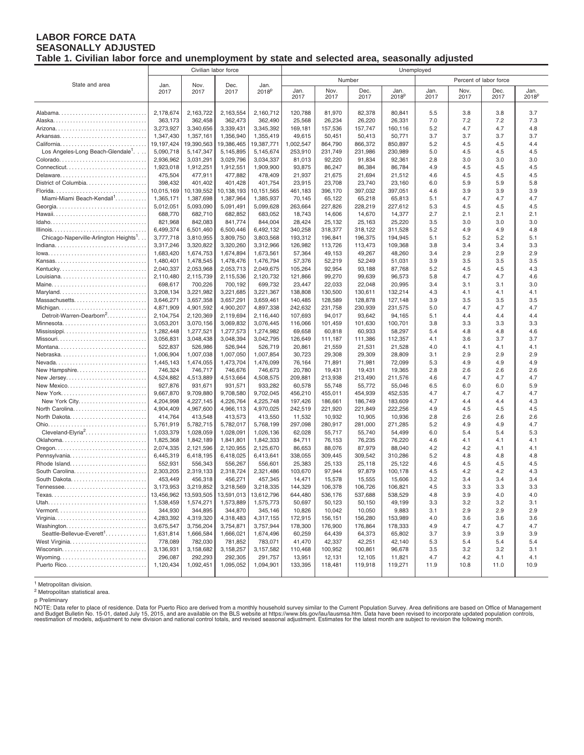#### **LABOR FORCE DATA SEASONALLY ADJUSTED Table 1. Civilian labor force and unemployment by state and selected area, seasonally adjusted**

|                                                   | Civilian labor force    |                         |                         |                           | Unemployed           |                    |                    |                    |            |                        |            |                   |
|---------------------------------------------------|-------------------------|-------------------------|-------------------------|---------------------------|----------------------|--------------------|--------------------|--------------------|------------|------------------------|------------|-------------------|
|                                                   |                         |                         |                         |                           |                      |                    | Number             |                    |            | Percent of labor force |            |                   |
| State and area                                    | Jan.<br>2017            | Nov.<br>2017            | Dec.<br>2017            | Jan.<br>2018 <sup>p</sup> | Jan.                 | Nov.               | Dec.               | Jan.               | Jan.       | Nov.                   | Dec.       | Jan.              |
|                                                   |                         |                         |                         |                           | 2017                 | 2017               | 2017               | 2018 <sup>p</sup>  | 2017       | 2017                   | 2017       | 2018 <sup>p</sup> |
|                                                   |                         |                         |                         |                           |                      |                    |                    |                    |            |                        |            |                   |
|                                                   | 2,178,674               | 2,163,722               | 2,163,554               | 2,160,712                 | 120,788              | 81,970             | 82,378             | 80,841             | 5.5        | 3.8                    | 3.8        | 3.7               |
|                                                   | 363,173                 | 362,458                 | 362,473                 | 362,490                   | 25,568               | 26,234             | 26,220             | 26,331             | 7.0        | 7.2                    | 7.2        | 7.3               |
|                                                   | 3,273,927               | 3,340,656               | 3,339,431               | 3,345,392                 | 169,181              | 157,536            | 157,747            | 160.116            | 5.2        | 4.7                    | 4.7        | 4.8               |
|                                                   | 1,347,430               | 1,357,161               | 1,356,940               | 1,355,419                 | 49,615               | 50,451             | 50,413             | 50,771             | 3.7        | 3.7                    | 3.7        | 3.7               |
| Los Angeles-Long Beach-Glendale <sup>1</sup> .    | 19,197,424<br>5,090,718 | 19,390,563<br>5,147,347 | 19,386,465<br>5,145,895 | 19,387,771<br>5,145,674   | 1,002,547<br>253,910 | 864,790<br>231,749 | 866,372<br>231,986 | 850,897<br>230,989 | 5.2<br>5.0 | 4.5<br>4.5             | 4.5<br>4.5 | 4.4<br>4.5        |
|                                                   | 2,936,962               | 3,031,291               | 3,029,796               | 3,034,337                 | 81,013               | 92,220             | 91,834             | 92,361             | 2.8        | 3.0                    | 3.0        | 3.0               |
|                                                   | 1,923,018               | 1,912,251               | 1,912,551               | 1,909,900                 | 93,875               | 86,247             | 86,384             | 86,784             | 4.9        | 4.5                    | 4.5        | 4.5               |
| Delaware                                          | 475,504                 | 477,911                 | 477,882                 | 478,409                   | 21,937               | 21,675             | 21,694             | 21,512             | 4.6        | 4.5                    | 4.5        | 4.5               |
| District of Columbia                              | 398,432                 | 401,402                 | 401,428                 | 401,754                   | 23,915               | 23,708             | 23,740             | 23,160             | 6.0        | 5.9                    | 5.9        | 5.8               |
|                                                   | 10,015,169              | 10,139,552              | 10,138,193              | 10,151,565                | 461,183              | 396,170            | 397,032            | 397,051            | 4.6        | 3.9                    | 3.9        | 3.9               |
| Miami-Miami Beach-Kendall <sup>1</sup>            | 1,365,171               | 1,387,698               | 1,387,964               | 1,385,937                 | 70,145               | 65,122             | 65,218             | 65,813             | 5.1        | 4.7                    | 4.7        | 4.7               |
|                                                   | 5,012,051               | 5,093,090               | 5,091,491               | 5,099,628                 | 263,664              | 227,826            | 228,219            | 227,612            | 5.3        | 4.5                    | 4.5        | 4.5               |
|                                                   | 688,770                 | 682,710                 | 682,852                 | 683,052                   | 18,743               | 14,606             | 14,670             | 14,377             | 2.7        | 2.1                    | 2.1        | 2.1               |
|                                                   | 821,968                 | 842,083                 | 841,774                 | 844,004                   | 28,424               | 25,132             | 25,163             | 25,220             | 3.5        | 3.0                    | 3.0        | 3.0               |
|                                                   | 6,499,374               | 6,501,460               | 6,500,446               | 6,492,132                 | 340,258              | 318,377            | 318,122            | 311,528            | 5.2        | 4.9                    | 4.9        | 4.8               |
| Chicago-Naperville-Arlington Heights <sup>1</sup> | 3,777,718               | 3,810,955               | 3,809,750               | 3,803,568                 | 193,312              | 196,841            | 196,375            | 194,945            | 5.1        | 5.2                    | 5.2        | 5.1               |
|                                                   | 3,317,246               | 3,320,822               | 3,320,260               | 3,312,966                 | 126,982              | 113,726            | 113,473            | 109,368            | 3.8        | 3.4                    | 3.4        | 3.3               |
|                                                   | 1,683,420               | 1,674,753               | 1,674,894               | 1,673,561                 | 57,364               | 49,153             | 49,267             | 48,260             | 3.4        | 2.9                    | 2.9        | 2.9               |
|                                                   | 1,480,401<br>2,040,337  | 1,478,545               | 1,478,476               | 1,476,794<br>2,049,675    | 57,376<br>105,264    | 52,219             | 52,249             | 51,031             | 3.9<br>5.2 | 3.5<br>4.5             | 3.5<br>4.5 | 3.5<br>4.3        |
|                                                   | 2,110,480               | 2,053,968<br>2,115,739  | 2,053,713<br>2,115,536  | 2,120,732                 | 121,866              | 92,954<br>99,270   | 93,188<br>99,639   | 87,768<br>96,573   | 5.8        | 4.7                    | 4.7        | 4.6               |
|                                                   | 698,617                 | 700,226                 | 700,192                 | 699,732                   | 23,447               | 22,033             | 22,048             | 20,995             | 3.4        | 3.1                    | 3.1        | 3.0               |
|                                                   | 3,208,134               | 3,221,982               | 3,221,685               | 3,221,367                 | 138,808              | 130,500            | 130,611            | 132,214            | 4.3        | 4.1                    | 4.1        | 4.1               |
|                                                   | 3,646,271               | 3,657,358               | 3,657,291               | 3,659,461                 | 140,485              | 128,589            | 128,878            | 127,148            | 3.9        | 3.5                    | 3.5        | 3.5               |
| Michigan                                          | 4,871,909               | 4,901,592               | 4,900,207               | 4,897,338                 | 242,632              | 231,758            | 230,939            | 231,575            | 5.0        | 4.7                    | 4.7        | 4.7               |
| Detroit-Warren-Dearborn <sup>2</sup>              | 2,104,754               | 2,120,369               | 2,119,694               | 2.116.440                 | 107,693              | 94,017             | 93,642             | 94,165             | 5.1        | 4.4                    | 4.4        | 4.4               |
| Minnesota                                         | 3,053,201               | 3,070,156               | 3,069,832               | 3,076,445                 | 116,066              | 101,459            | 101,630            | 100,701            | 3.8        | 3.3                    | 3.3        | 3.3               |
|                                                   | 1,282,448               | 1,277,521               | 1,277,573               | 1,274,982                 | 69,658               | 60,818             | 60,933             | 58,297             | 5.4        | 4.8                    | 4.8        | 4.6               |
|                                                   | 3,056,831               | 3.048.438               | 3,048,394               | 3,042,795                 | 126,649              | 111,187            | 111,386            | 112,357            | 4.1        | 3.6                    | 3.7        | 3.7               |
|                                                   | 522,837                 | 526,986                 | 526,944                 | 526,719                   | 20,861               | 21,559             | 21,531             | 21,528             | 4.0        | 4.1                    | 4.1        | 4.1               |
| Nebraska                                          | 1,006,904               | 1,007,038               | 1,007,050               | 1,007,854                 | 30,723               | 29,308             | 29,309             | 28,809             | 3.1        | 2.9                    | 2.9        | 2.9               |
| Nevada<br>New Hampshire                           | 1,445,143<br>746,324    | 1,474,055<br>746,717    | 1,473,704<br>746,676    | 1,476,099<br>746,673      | 76,164<br>20,780     | 71,891<br>19,431   | 71,981<br>19,431   | 72,099<br>19,365   | 5.3<br>2.8 | 4.9<br>2.6             | 4.9<br>2.6 | 4.9<br>2.6        |
| New Jersey                                        | 4,524,882               | 4,513,889               | 4,513,664               | 4,508,575                 | 209,881              | 213,938            | 213,490            | 211,576            | 4.6        | 4.7                    | 4.7        | 4.7               |
| New Mexico                                        | 927,876                 | 931,671                 | 931,571                 | 933,282                   | 60,578               | 55,748             | 55,772             | 55,046             | 6.5        | 6.0                    | 6.0        | 5.9               |
| New York                                          | 9,667,870               | 9,709,880               | 9,708,580               | 9,702,045                 | 456,210              | 455,011            | 454,939            | 452,535            | 4.7        | 4.7                    | 4.7        | 4.7               |
|                                                   | 4,204,998               | 4,227,145               | 4,226,764               | 4,225,748                 | 197,426              | 186,661            | 186,749            | 183,609            | 4.7        | 4.4                    | 4.4        | 4.3               |
| North Carolina                                    | 4,904,409               | 4,967,600               | 4,966,113               | 4,970,025                 | 242,519              | 221,920            | 221,849            | 222,256            | 4.9        | 4.5                    | 4.5        | 4.5               |
|                                                   | 414,764                 | 413,548                 | 413,573                 | 413,550                   | 11,532               | 10,932             | 10,905             | 10,936             | 2.8        | 2.6                    | 2.6        | 2.6               |
|                                                   | 5,761,919               | 5,782,715               | 5,782,017               | 5,768,199                 | 297,098              | 280,917            | 281,000            | 271,285            | 5.2        | 4.9                    | 4.9        | 4.7               |
| Cleveland-Elyria <sup>2</sup>                     | 1,033,379               | 1,028,059               | 1,028,091               | 1,026,136                 | 62,028               | 55,717             | 55,740             | 54,499             | 6.0        | 5.4                    | 5.4        | 5.3               |
|                                                   | 1,825,368               | 1,842,189               | 1,841,801               | 1,842,333                 | 84,711               | 76,153             | 76,235             | 76,220             | 4.6        | 4.1                    | 4.1        | 4.1               |
|                                                   | 2,074,335               | 2,121,596               | 2,120,955               | 2,125,670                 | 86,653               | 88,076             | 87,979             | 88,040             | 4.2        | 4.2                    | 4.1        | 4.1               |
| Pennsylvania<br>Rhode Island                      | 6,445,319<br>552,931    | 6,418,195<br>556,343    | 6,418,025<br>556,267    | 6,413,641<br>556,601      | 338,055<br>25,383    | 309.445<br>25,133  | 309,542<br>25,118  | 310,286<br>25,122  | 5.2<br>4.6 | 4.8<br>4.5             | 4.8<br>4.5 | 4.8<br>4.5        |
|                                                   | 2,303,205               | 2,319,133               | 2,318,724               | 2,321,486                 | 103,670              | 97,944             | 97,879             | 100,178            | 4.5        | 4.2                    | 4.2        | 4.3               |
|                                                   | 453,449                 | 456,318                 | 456,271                 | 457,345                   | 14,471               | 15,578             | 15,555             | 15,606             | 3.2        | 3.4                    | 3.4        | 3.4               |
|                                                   | 3,173,953               | 3,219,852               | 3,218,569               | 3,218,335                 | 144,329              | 106,378            | 106,726            | 106,821            | 4.5        | 3.3                    | 3.3        | 3.3               |
|                                                   | 13,456,962              | 13,593,505              |                         | 13,591,013   13,612,796   | 644,480              | 536,176            | 537,688            | 538,529            | 4.8        | 3.9                    | 4.0        | 4.0               |
|                                                   | 1,538,459               | 1,574,271               | 1,573,889               | 1,575,773                 | 50,697               | 50,123             | 50,150             | 49,199             | 3.3        | 3.2                    | 3.2        | 3.1               |
|                                                   | 344,930                 | 344,895                 | 344,870                 | 345,146                   | 10,826               | 10,042             | 10,050             | 9,883              | 3.1        | 2.9                    | 2.9        | 2.9               |
|                                                   | 4,283,392               | 4,319,320               | 4,318,483               | 4,317,155                 | 172,915              | 156,151            | 156,280            | 153,989            | 4.0        | 3.6                    | 3.6        | 3.6               |
|                                                   | 3,675,547               | 3,756,204               | 3,754,871               | 3,757,944                 | 178,300              | 176,900            | 176,864            | 178,333            | 4.9        | 4.7                    | 4.7        | 4.7               |
| Seattle-Bellevue-Everett <sup>1</sup>             | 1,631,814               | 1,666,584               | 1,666,021               | 1,674,496                 | 60,259               | 64,439             | 64,373             | 65,802             | 3.7        | 3.9                    | 3.9        | 3.9               |
|                                                   | 778,089                 | 782,030                 | 781,852                 | 783,071                   | 41,470               | 42,337             | 42,251             | 42,140             | 5.3        | 5.4                    | 5.4        | 5.4               |
|                                                   | 3,136,931               | 3,158,682               | 3,158,257               | 3,157,582                 | 110,468              | 100,952            | 100,861            | 96,678             | 3.5        | 3.2                    | 3.2        | 3.1               |
|                                                   | 296,087<br>1,120,434    | 292,293                 | 292,305                 | 291,757<br>1,094,901      | 13,951               | 12,131             | 12,105             | 11,821             | 4.7        | 4.2<br>10.8            | 4.1        | 4.1<br>10.9       |
|                                                   |                         | 1,092,451               | 1,095,052               |                           | 133,395              | 118,481            | 119,918            | 119,271            | 11.9       |                        | 11.0       |                   |

<sup>1</sup> Metropolitan division.

<sup>2</sup> Metropolitan statistical area.

p Preliminary

NOTE: Data refer to place of residence. Data for Puerto Rico are derived from a monthly household survey similar to the Current Population Survey. Area definitions are based on Office of Management<br>and Budget Bulletin No.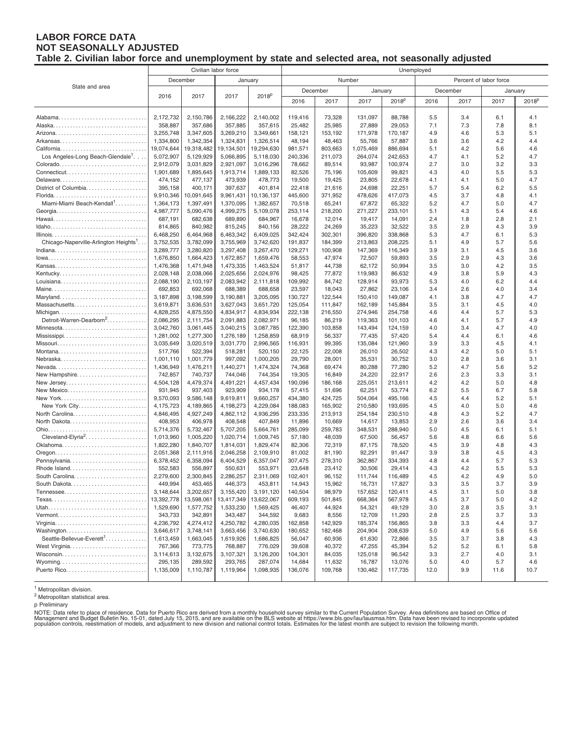#### **LABOR FORCE DATA NOT SEASONALLY ADJUSTED Table 2. Civilian labor force and unemployment by state and selected area, not seasonally adjusted**

|                                                |                        | Civilian labor force   |                        |                        | Unemployed        |                   |                   |                   |            |            |                        |                   |  |
|------------------------------------------------|------------------------|------------------------|------------------------|------------------------|-------------------|-------------------|-------------------|-------------------|------------|------------|------------------------|-------------------|--|
|                                                |                        | December               | January                |                        |                   |                   | Number            |                   |            |            | Percent of labor force |                   |  |
| State and area                                 |                        |                        |                        |                        | December          |                   | January           |                   |            | December   |                        | January           |  |
|                                                | 2016                   | 2017                   | 2017                   | 2018 <sup>p</sup>      | 2016              | 2017              | 2017              | 2018 <sup>p</sup> | 2016       | 2017       | 2017                   | 2018 <sup>p</sup> |  |
|                                                |                        |                        |                        |                        |                   |                   |                   |                   |            |            |                        |                   |  |
|                                                | 2,172,732              | 2,150,786              | 2,166,222              | 2,140,002              | 119,416           | 73,328            | 131,097           | 88,788            | 5.5        | 3.4        | 6.1                    | 4.1               |  |
|                                                | 358,887                | 357,686                | 357,885                | 357,615                | 25,482            | 25,985            | 27,889            | 29,053            | 7.1        | 7.3        | 7.8                    | 8.1               |  |
|                                                | 3,255,748              | 3,347,605              | 3,269,210              | 3,349,661              | 158,121           | 153,192           | 171,978           | 170,187           | 4.9        | 4.6        | 5.3                    | 5.1               |  |
|                                                | 1,334,800              | 1,342,354              | 1,324,831              | 1,326,514              | 48,194            | 48,463            | 55,766            | 57,887            | 3.6        | 3.6        | 4.2                    | 4.4               |  |
|                                                | 19,074,644             | 19,318,482             | 19,134,501             | 19,294,630             | 981,571           | 803,663           | 1,075,469         | 886,694           | 5.1        | 4.2        | 5.6                    | 4.6               |  |
| Los Angeles-Long Beach-Glendale <sup>1</sup> . | 5,072,907              | 5,129,929              | 5,066,895              | 5,118,030              | 240,336           | 211,073           | 264,074           | 242,653           | 4.7        | 4.1        | 5.2                    | 4.7               |  |
|                                                | 2,912,079              | 3,031,829              | 2,921,097              | 3,016,296              | 78,662            | 89,514            | 93,987            | 100,974           | 2.7        | 3.0        | 3.2                    | 3.3               |  |
|                                                | 1,901,689              | 1,895,645              | 1,913,714              | 1,889,133              | 82,526            | 75,196            | 105,609           | 99,821            | 4.3        | 4.0        | 5.5                    | 5.3               |  |
| Delaware                                       | 474,152                | 477,137                | 473,939                | 478,773                | 19,500            | 19,425            | 23,805            | 22,678            | 4.1        | 4.1        | 5.0                    | 4.7               |  |
| District of Columbia                           | 395,158                | 400,171                | 397,637                | 401,814                | 22,418            | 21,616            | 24,698            | 22,251            | 5.7        | 5.4        | 6.2                    | 5.5               |  |
|                                                | 9,910,346              | 10,091,645             | 9,961,431              | 10,136,137             | 445,600           | 371,952           | 478,626           | 417,073           | 4.5        | 3.7        | 4.8                    | 4.1               |  |
| Miami-Miami Beach-Kendall <sup>1</sup>         | 1,364,173<br>4,987,777 | 1,397,491<br>5,090,476 | 1,370,095<br>4,999,275 | 1,382,657<br>5,109,078 | 70,518<br>253,114 | 65,241<br>218,200 | 67,872<br>271,227 | 65,322<br>233,101 | 5.2<br>5.1 | 4.7<br>4.3 | 5.0<br>5.4             | 4.7<br>4.6        |  |
|                                                | 687,191                | 682,638                | 689,890                | 684,967                | 16,678            | 12,014            | 19,417            | 14,091            | 2.4        | 1.8        | 2.8                    | 2.1               |  |
|                                                | 814,865                | 840,982                | 815,245                | 840,156                | 28,222            | 24,269            | 35,223            | 32,522            | $3.5\,$    | 2.9        | 4.3                    | 3.9               |  |
|                                                | 6,468,250              | 6,464,968              | 6,463,342              | 6,409,025              | 342,424           | 302,301           | 396,820           | 338,868           | 5.3        | 4.7        | 6.1                    | 5.3               |  |
| Chicago-Naperville-Arlington Heights'          | 3,752,535              | 3,782,099              | 3,755,969              | 3,742,620              | 191,837           | 184,399           | 213,863           | 208,225           | 5.1        | 4.9        | 5.7                    | 5.6               |  |
|                                                | 3,289,777              | 3,280,820              | 3,297,408              | 3,267,470              | 129,271           | 100,908           | 147,369           | 116,349           | 3.9        | 3.1        | 4.5                    | 3.6               |  |
|                                                | 1,676,850              | 1,664,423              | 1,672,857              | 1,659,476              | 58,553            | 47,974            | 72,507            | 59,893            | 3.5        | 2.9        | 4.3                    | 3.6               |  |
| Kansas                                         | 1,476,368              | 1,471,948              | 1,473,335              | 1,463,524              | 51,817            | 44,738            | 62,172            | 50,994            | 3.5        | 3.0        | 4.2                    | 3.5               |  |
|                                                | 2,028,148              | 2,038,066              | 2,025,656              | 2,024,976              | 98,425            | 77,872            | 119,983           | 86,632            | 4.9        | 3.8        | 5.9                    | 4.3               |  |
|                                                | 2,088,190              | 2,103,197              | 2,083,942              | 2,111,818              | 109,992           | 84,742            | 128,914           | 93,973            | 5.3        | 4.0        | 6.2                    | 4.4               |  |
|                                                | 692,853                | 692,068                | 688,389                | 688,658                | 23,597            | 18,043            | 27,862            | 23,106            | 3.4        | 2.6        | 4.0                    | 3.4               |  |
| Maryland                                       | 3,187,898              | 3,198,599              | 3,190,881              | 3,205,095              | 130,727           | 122,544           | 150,410           | 149,087           | 4.1        | 3.8        | 4.7                    | 4.7               |  |
| Massachusetts                                  | 3,619,871              | 3,636,531              | 3,627,043              | 3,651,720              | 125,054           | 111,847           | 162,189           | 145,884           | 3.5        | 3.1        | 4.5                    | 4.0               |  |
| Michigan                                       | 4,828,255              | 4,875,550              | 4,834,917              | 4,834,934              | 222,138           | 216,550           | 274,946           | 254,758           | 4.6        | 4.4        | 5.7                    | 5.3               |  |
| Detroit-Warren-Dearborn <sup>2</sup>           | 2,086,295              | 2,111,754              | 2,091,883              | 2,082,971              | 96,185            | 86,219            | 119,363           | 101,103           | 4.6        | 4.1        | 5.7                    | 4.9               |  |
| Minnesota                                      | 3,042,760              | 3,061,445              | 3,040,215              | 3,087,785              | 122,390           | 103,858           | 143,494           | 124,159           | 4.0        | 3.4        | 4.7                    | 4.0               |  |
| Mississippi                                    | 1,281,002              | 1,277,300              | 1,276,189              | 1,258,859              | 68,919            | 56,337            | 77,435            | 57,420            | 5.4<br>3.9 | 4.4<br>3.3 | 6.1<br>4.5             | 4.6<br>4.1        |  |
| Montana                                        | 3,035,649<br>517,766   | 3,020,519<br>522,394   | 3,031,770<br>518,281   | 2,996,565<br>520,150   | 116,931<br>22,125 | 99,395<br>22,008  | 135,084<br>26,010 | 121,960<br>26,502 | 4.3        | 4.2        | 5.0                    | 5.1               |  |
| Nebraska                                       | 1,001,110              | 1,001,779              | 997,092                | 1,000,205              | 29,790            | 28,001            | 35,531            | 30,752            | 3.0        | 2.8        | 3.6                    | 3.1               |  |
| Nevada                                         | 1,436,949              | 1,476,211              | 1,440,271              | 1,474,324              | 74,368            | 69,474            | 80,288            | 77,280            | 5.2        | 4.7        | 5.6                    | 5.2               |  |
| New Hampshire                                  | 742,857                | 740,737                | 744,046                | 744,354                | 19,305            | 16,849            | 24,220            | 22,917            | 2.6        | 2.3        | 3.3                    | 3.1               |  |
| New Jersey                                     | 4,504,128              | 4,479,374              | 4,491,221              | 4,457,434              | 190,096           | 186,168           | 225,051           | 213,611           | 4.2        | 4.2        | 5.0                    | 4.8               |  |
| New Mexico                                     | 931,945                | 937,403                | 923,909                | 934,178                | 57,415            | 51,696            | 62,251            | 53,774            | 6.2        | 5.5        | 6.7                    | 5.8               |  |
| New York                                       | 9,570,093              | 9,586,148              | 9,619,811              | 9,660,257              | 434,380           | 424,725           | 504,064           | 495,166           | 4.5        | 4.4        | 5.2                    | 5.1               |  |
| New York City                                  | 4,175,723              | 4,189,865              | 4,198,273              | 4,229,084              | 188,083           | 165,902           | 210,580           | 193,695           | 4.5        | 4.0        | 5.0                    | 4.6               |  |
| North Carolina                                 | 4,846,495              | 4,927,249              | 4,862,112              | 4,936,295              | 233,335           | 213,913           | 254,184           | 230,510           | 4.8        | 4.3        | 5.2                    | 4.7               |  |
|                                                | 408,953                | 406,978                | 408,548                | 407,849                | 11,896            | 10,669            | 14,617            | 13,853            | 2.9        | 2.6        | 3.6                    | 3.4               |  |
|                                                | 5,714,376              | 5,732,467              | 5,707,205              | 5,664,761              | 285,099           | 259,783           | 348,531           | 288,940           | 5.0        | 4.5        | 6.1                    | 5.1               |  |
| Cleveland-Elyria <sup>2</sup>                  | 1,013,960              | 1,005,220              | 1,020,714              | 1,009,745              | 57,180            | 48,039            | 67,500            | 56,457            | 5.6        | 4.8        | 6.6                    | 5.6               |  |
|                                                | 1,822,280              | 1,840,707              | 1,814,031              | 1,829,474              | 82,306            | 72,319            | 87,175            | 78,520            | 4.5        | 3.9        | 4.8                    | 4.3               |  |
| Pennsylvania                                   | 2,051,368<br>6,378,452 | 2,111,916<br>6,358,094 | 2,046,258<br>6,404,529 | 2,109,910<br>6,357,047 | 81,002<br>307,475 | 81,190<br>278,310 | 92,291<br>362,867 | 91,447<br>334,393 | 3.9<br>4.8 | 3.8<br>4.4 | 4.5<br>5.7             | 4.3<br>5.3        |  |
| Rhode Island                                   | 552,583                | 556,897                | 550,631                | 553,971                | 23,648            | 23,412            | 30,506            | 29,414            | 4.3        | 4.2        | 5.5                    | 5.3               |  |
| South Carolina                                 | 2,279,600              | 2,300,845              | 2,286,257              | 2,311,069              | 102,401           | 96,152            | 111,744           | 116,489           | 4.5        | 4.2        | 4.9                    | 5.0               |  |
|                                                | 449,994                | 453,465                | 446,373                | 453,811                | 14,943            | 15,962            | 16,731            | 17,827            | 3.3        | 3.5        | 3.7                    | 3.9               |  |
| $T$ ennessee                                   | 3,148,644              | 3,202,657              | 3,155,420              | 3,191,120              | 140,504           | 98,979            | 157,652           | 120,411           | 4.5        | 3.1        | 5.0                    | 3.8               |  |
|                                                | 13,392,778             | 13,598,061             | 13,417,349             | 13,622,067             | 609,193           | 501,845           | 668,364           | 567,978           | 4.5        | 3.7        | 5.0                    | 4.2               |  |
| Utah                                           | 1,529,690              | 1,577,752              | 1,533,230              | 1,569,425              | 46,407            | 44,924            | 54,321            | 49,129            | 3.0        | 2.8        | 3.5                    | 3.1               |  |
|                                                | 343,733                | 342,891                | 343,487                | 344,592                | 9,683             | 8,556             | 12,709            | 11,293            | 2.8        | 2.5        | 3.7                    | 3.3               |  |
|                                                | 4,236,792              | 4,274,412              | 4,250,782              | 4,280,035              | 162,858           | 142,929           | 185,374           | 156,865           | 3.8        | 3.3        | 4.4                    | 3.7               |  |
| Washington                                     | 3,646,617              | 3,748,141              | 3,663,456              | 3,740,630              | 180,652           | 182,468           | 204,904           | 208,639           | 5.0        | 4.9        | 5.6                    | 5.6               |  |
| Seattle-Bellevue-Everett <sup>1</sup>          | 1,613,459              | 1,663,045              | 1,619,926              | 1,686,825              | 56,047            | 60,936            | 61,630            | 72,866            | 3.5        | 3.7        | 3.8                    | 4.3               |  |
|                                                | 767,366                | 773,775                | 768,887                | 776,029                | 39,608            | 40,372            | 47,255            | 45,394            | 5.2        | 5.2        | 6.1                    | 5.8               |  |
|                                                | 3,114,613              | 3,132,675              | 3,107,321              | 3,126,200              | 104,301           | 84,035            | 125,018           | 96,542            | 3.3        | 2.7        | 4.0                    | 3.1               |  |
|                                                | 295,135                | 289,592                | 293,765                | 287,074                | 14,684            | 11,632            | 16,787            | 13,076            | 5.0        | 4.0        | 5.7                    | 4.6               |  |
|                                                | 1,135,009              | 1,110,787              | 1,119,964              | 1,098,935              | 136,076           | 109,768           | 130,462           | 117,735           | 12.0       | 9.9        | 11.6                   | 10.7              |  |

<sup>1</sup> Metropolitan division.

<sup>2</sup> Metropolitan statistical area.

p Preliminary

NOTE: Data refer to place of residence. Data for Puerto Rico are derived from a monthly household survey similar to the Current Population Survey. Area definitions are based on Office of<br>Management and Budget Bulletin No.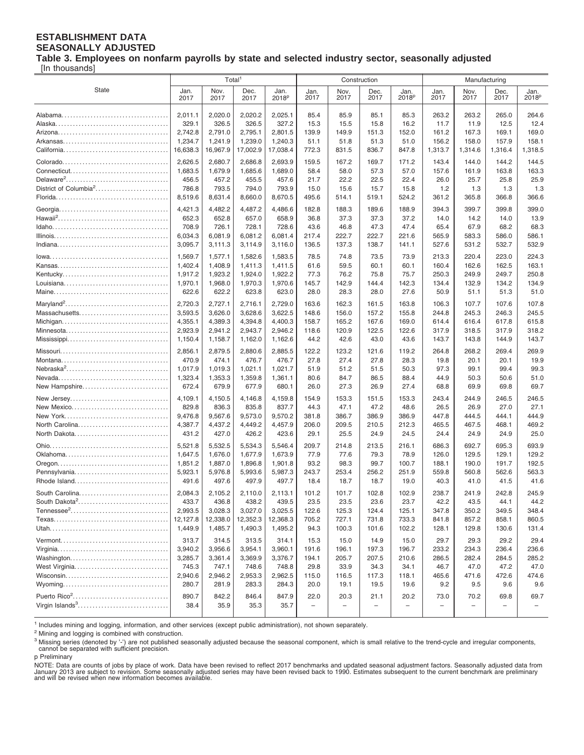#### **ESTABLISHMENT DATA SEASONALLY ADJUSTED**

**Table 3. Employees on nonfarm payrolls by state and selected industry sector, seasonally adjusted**

[In thousands]

|                                                         | Total <sup>1</sup>     |                        |                        |                        |                                          | Construction       |              | Manufacturing                            |             |                  |                                         |                                         |
|---------------------------------------------------------|------------------------|------------------------|------------------------|------------------------|------------------------------------------|--------------------|--------------|------------------------------------------|-------------|------------------|-----------------------------------------|-----------------------------------------|
| <b>State</b>                                            | Jan.                   | Nov.                   | Dec.                   | Jan.                   | Jan.                                     | Nov.               | Dec.         | Jan.                                     | Jan.        | Nov.             | Dec.                                    | Jan.                                    |
|                                                         | 2017                   | 2017                   | 2017                   | 2018 <sup>p</sup>      | 2017                                     | 2017               | 2017         | 2018 <sup>p</sup>                        | 2017        | 2017             | 2017                                    | 2018 <sup>p</sup>                       |
|                                                         | 2,011.1                | 2,020.0                | 2,020.2                | 2,025.1                | 85.4                                     | 85.9               | 85.1         | 85.3                                     | 263.2       | 263.2            | 265.0                                   | 264.6                                   |
|                                                         | 329.1                  | 326.5                  | 326.5                  | 327.2                  | 15.3                                     | 15.5               | 15.8         | 16.2                                     | 11.7        | 11.9             | 12.5                                    | 12.4                                    |
|                                                         | 2,742.8                | 2,791.0                | 2.795.1                | 2,801.5                | 139.9                                    | 149.9              | 151.3        | 152.0                                    | 161.2       | 167.3            | 169.1                                   | 169.0                                   |
|                                                         | 1,234.7                | 1,241.9                | 1,239.0                | 1,240.3                | 51.1                                     | 51.8               | 51.3         | 51.0                                     | 156.2       | 158.0            | 157.9                                   | 158.1                                   |
|                                                         | 16,638.3               | 16,967.9               | 17,002.9               | 17,038.4               | 772.3                                    | 831.5              | 836.7        | 847.8                                    | 1,313.7     | 1,314.6          | 1,316.4                                 | 1,318.5                                 |
|                                                         | 2,626.5                | 2,680.7                | 2,686.8                | 2,693.9                | 159.5                                    | 167.2              | 169.7        | 171.2                                    | 143.4       | 144.0            | 144.2                                   | 144.5                                   |
|                                                         | 1,683.5                | 1,679.9                | 1,685.6                | 1,689.0                | 58.4                                     | 58.0               | 57.3         | 57.0                                     | 157.6       | 161.9            | 163.8                                   | 163.3                                   |
|                                                         | 456.5                  | 457.2                  | 455.5                  | 457.6                  | 21.7                                     | 22.2               | 22.5         | 22.4                                     | 26.0        | 25.7             | 25.8                                    | 25.9                                    |
| District of Columbia <sup>2</sup>                       | 786.8                  | 793.5                  | 794.0                  | 793.9                  | 15.0                                     | 15.6               | 15.7         | 15.8                                     | 1.2         | 1.3              | 1.3                                     | 1.3                                     |
|                                                         | 8,519.6                | 8,631.4                | 8,660.0                | 8,670.5                | 495.6                                    | 514.1              | 519.1        | 524.2                                    | 361.2       | 365.8            | 366.8                                   | 366.6                                   |
|                                                         | 4,421.3                | 4,482.2                | 4,487.2                | 4,486.6                | 182.8                                    | 188.3              | 189.6        | 188.9                                    | 394.3       | 399.7            | 399.8                                   | 399.0                                   |
|                                                         | 652.3                  | 652.8                  | 657.0                  | 658.9                  | 36.8                                     | 37.3               | 37.3         | 37.2                                     | 14.0        | 14.2             | 14.0                                    | 13.9                                    |
|                                                         | 708.9                  | 726.1                  | 728.1                  | 728.6                  | 43.6                                     | 46.8               | 47.3         | 47.4                                     | 65.4        | 67.9             | 68.2                                    | 68.3                                    |
|                                                         | 6,034.3                | 6,081.9                | 6,081.2                | 6,081.4                | 217.4                                    | 222.7              | 222.7        | 221.6                                    | 565.9       | 583.3            | 586.0                                   | 586.1                                   |
|                                                         | 3,095.7                | 3,111.3                | 3,114.9                | 3,116.0                | 136.5                                    | 137.3              | 138.7        | 141.1                                    | 527.6       | 531.2            | 532.7                                   | 532.9                                   |
|                                                         | 1,569.7                | 1,577.1                | 1,582.6                | 1,583.5                | 78.5                                     | 74.8               | 73.5         | 73.9                                     | 213.3       | 220.4            | 223.0                                   | 224.3                                   |
|                                                         | 1,402.4                | 1,408.9                | 1,411.3                | 1.411.5                | 61.6                                     | 59.5               | 60.1         | 60.1                                     | 160.4       | 162.6            | 162.5                                   | 163.1                                   |
|                                                         | 1,917.2                | 1,923.2                | 1,924.0                | 1,922.2                | 77.3                                     | 76.2               | 75.8         | 75.7                                     | 250.3       | 249.9            | 249.7                                   | 250.8                                   |
|                                                         | 1,970.1                | 1,968.0                | 1,970.3                | 1,970.6                | 145.7                                    | 142.9              | 144.4        | 142.3                                    | 134.4       | 132.9            | 134.2                                   | 134.9                                   |
|                                                         | 622.6                  | 622.2                  | 623.8                  | 623.0                  | 28.0                                     | 28.3               | 28.0         | 27.6                                     | 50.9        | 51.1             | 51.3                                    | 51.0                                    |
|                                                         | 2,720.3                | 2,727.1                | 2,716.1                | 2,729.0                | 163.6                                    | 162.3              | 161.5        | 163.8                                    | 106.3       | 107.7            | 107.6                                   | 107.8                                   |
| Massachusetts                                           | 3,593.5                | 3,626.0                | 3,628.6                | 3,622.5                | 148.6                                    | 156.0              | 157.2        | 155.8                                    | 244.8       | 245.3            | 246.3                                   | 245.5                                   |
|                                                         | 4,355.1                | 4,389.3                | 4,394.8                | 4,400.3                | 158.7                                    | 165.2              | 167.6        | 169.0                                    | 614.4       | 616.4            | 617.8                                   | 615.8                                   |
|                                                         | 2,923.9                | 2,941.2                | 2,943.7                | 2,946.2                | 118.6                                    | 120.9              | 122.5        | 122.6                                    | 317.9       | 318.5            | 317.9                                   | 318.2                                   |
|                                                         | 1,150.4                | 1,158.7                | 1,162.0                | 1,162.6                | 44.2                                     | 42.6               | 43.0         | 43.6                                     | 143.7       | 143.8            | 144.9                                   | 143.7                                   |
|                                                         | 2,856.1                | 2,879.5                | 2,880.6                | 2,885.5                | 122.2                                    | 123.2              | 121.6        | 119.2                                    | 264.8       | 268.2            | 269.4                                   | 269.9                                   |
|                                                         | 470.9                  | 474.1                  | 476.7                  | 476.7                  | 27.8                                     | 27.4               | 27.8         | 28.3                                     | 19.8        | 20.1             | 20.1                                    | 19.9                                    |
| Nebraska <sup>2</sup>                                   | 1,017.9                | 1,019.3                | 1,021.1                | 1,021.7                | 51.9                                     | 51.2               | 51.5         | 50.3                                     | 97.3        | 99.1             | 99.4                                    | 99.3                                    |
|                                                         | 1,323.4                | 1,353.3                | 1,359.8                | 1,361.1                | 80.6                                     | 84.7               | 86.5         | 88.4                                     | 44.9        | 50.3             | 50.6                                    | 51.0                                    |
| New Hampshire                                           | 672.4                  | 679.9                  | 677.9                  | 680.1                  | 26.0                                     | 27.3               | 26.9         | 27.4                                     | 68.8        | 69.9             | 69.8                                    | 69.7                                    |
| New Jersey                                              | 4,109.1                | 4,150.5                | 4,146.8                | 4,159.8                | 154.9                                    | 153.3              | 151.5        | 153.3                                    | 243.4       | 244.9            | 246.5                                   | 246.5                                   |
| New Mexico                                              | 829.8                  | 836.3                  | 835.8                  | 837.7                  | 44.3                                     | 47.1               | 47.2         | 48.6                                     | 26.5        | 26.9             | 27.0                                    | 27.1                                    |
|                                                         | 9,476.8                | 9,567.6                | 9,573.0                | 9,570.2                | 381.8                                    | 386.7              | 386.9        | 386.9                                    | 447.8       | 444.5            | 444.1                                   | 444.9                                   |
| North Carolina                                          | 4,387.7                | 4,437.2                | 4,449.2                | 4,457.9                | 206.0                                    | 209.5              | 210.5        | 212.3                                    | 465.5       | 467.5            | 468.1                                   | 469.2                                   |
| North Dakota                                            | 431.2                  | 427.0                  | 426.2                  | 423.6                  | 29.1                                     | 25.5               | 24.9         | 24.5                                     | 24.4        | 24.9             | 24.9                                    | 25.0                                    |
|                                                         | 5,521.8                | 5,532.5                | 5,534.3                | 5,546.4                | 209.7                                    | 214.8              | 213.5        | 216.1                                    | 686.3       | 692.7            | 695.3                                   | 693.9                                   |
|                                                         | 1.647.5                | 1,676.0                | 1,677.9                | 1.673.9                | 77.9                                     | 77.6               | 79.3         | 78.9                                     | 126.0       | 129.5            | 129.1                                   | 129.2                                   |
|                                                         | 1,851.2                | 1,887.0                | 1,896.8                | 1,901.8                | 93.2                                     | 98.3               | 99.7         | 100.7                                    | 188.1       | 190.0            | 191.7                                   | 192.5                                   |
| Pennsylvania                                            | 5,923.1                | 5,976.8                | 5,993.6                | 5,987.3                | 243.7                                    | 253.4              | 256.2        | 251.9                                    | 559.8       | 560.8            | 562.6                                   | 563.3                                   |
| Rhode Island                                            | 491.6                  | 497.6                  | 497.9                  | 497.7                  | 18.4                                     | 18.7               | 18.7         | 19.0                                     | 40.3        | 41.0             | 41.5                                    | 41.6                                    |
| South Carolina                                          | 2,084.3                | 2,105.2                | 2,110.0                | 2,113.1                | 101.2                                    | 101.7              | 102.8        | 102.9                                    | 238.7       | 241.9            | 242.8                                   | 245.9                                   |
| South Dakota <sup>2</sup>                               | 433.7                  | 436.8                  | 438.2                  | 439.5                  | 23.5                                     | 23.5               | 23.6         | 23.7                                     | 42.2        | 43.5             | 44.1                                    | 44.2                                    |
|                                                         | 2,993.5                | 3,028.3                | 3,027.0                | 3,025.5                | 122.6                                    | 125.3              | 124.4        | 125.1                                    | 347.8       | 350.2            | 349.5                                   | 348.4                                   |
|                                                         | 12,127.8               | 12,338.0               | 12,352.3               | 12,368.3               | 705.2                                    | 727.1              | 731.8        | 733.3                                    | 841.8       | 857.2            | 858.1                                   | 860.5                                   |
|                                                         | 1,449.9                | 1,485.7                | 1,490.3                | 1,495.2                | 94.3                                     | 100.3              | 101.6        | 102.2                                    | 128.1       | 129.8            | 130.6                                   | 131.4                                   |
|                                                         | 313.7                  | 314.5                  | 313.5                  | 314.1                  | 15.3                                     | 15.0               | 14.9         | 15.0                                     | 29.7        | 29.3             | 29.2                                    | 29.4                                    |
|                                                         | 3,940.2                | 3,956.6                | 3,954.1                | 3,960.1                | 191.6                                    | 196.1              | 197.3        | 196.7                                    | 233.2       | 234.3            | 236.4                                   | 236.6                                   |
|                                                         | 3,285.7                | 3,361.4                | 3,369.9                | 3,376.7                | 194.1                                    | 205.7              | 207.5        | 210.6                                    | 286.5       | 282.4            | 284.5                                   | 285.2                                   |
| West Virginia                                           | 745.3                  | 747.1                  | 748.6                  | 748.8                  | 29.8                                     | 33.9               | 34.3         | 34.1                                     | 46.7        | 47.0             | 47.2                                    | 47.0                                    |
|                                                         | 2,940.6                | 2,946.2                | 2,953.3                | 2,962.5                | 115.0                                    | 116.5              | 117.3        | 118.1                                    | 465.6       | 471.6            | 472.6                                   | 474.6                                   |
| Puerto Rico <sup>2</sup><br>Virgin Islands <sup>3</sup> | 280.7<br>890.7<br>38.4 | 281.9<br>842.2<br>35.9 | 283.3<br>846.4<br>35.3 | 284.3<br>847.9<br>35.7 | 20.0<br>22.0<br>$\overline{\phantom{a}}$ | 19.1<br>20.3<br>L. | 19.5<br>21.1 | 19.6<br>20.2<br>$\overline{\phantom{0}}$ | 9.2<br>73.0 | 9.5<br>70.2<br>- | 9.6<br>69.8<br>$\overline{\phantom{0}}$ | 9.6<br>69.7<br>$\overline{\phantom{0}}$ |

1 Includes mining and logging, information, and other services (except public administration), not shown separately.

<sup>2</sup> Mining and logging is combined with construction.

<sup>3</sup> Missing series (denoted by '-') are not published seasonally adjusted because the seasonal component, which is small relative to the trend-cycle and irregular components,<br>cannot be separated with sufficient precision.

p Preliminary

NOTE: Data are counts of jobs by place of work. Data have been revised to reflect 2017 benchmarks and updated seasonal adjustment factors. Seasonally adjusted data from<br>January 2013 are subject to revision. Some seasonally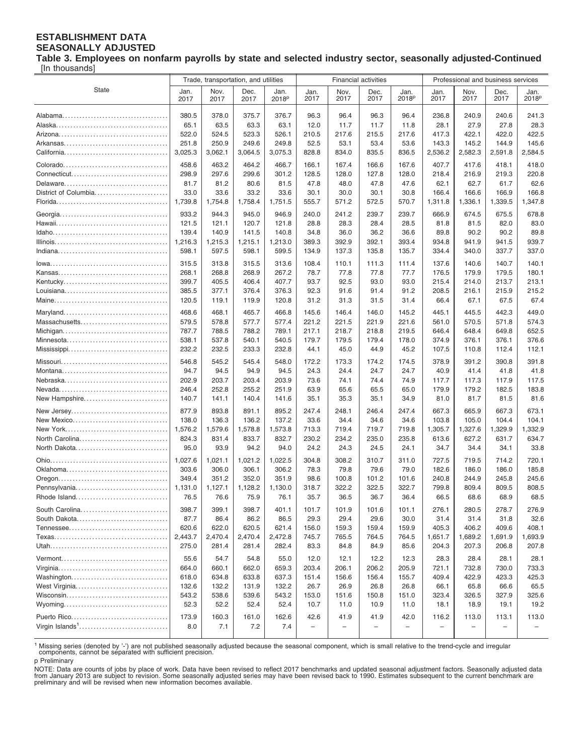#### **ESTABLISHMENT DATA SEASONALLY ADJUSTED**

**Table 3. Employees on nonfarm payrolls by state and selected industry sector, seasonally adjusted-Continued** [In thousands]

|                             | Trade, transportation, and utilities |                  |                  |                           | <b>Financial activities</b> |                   |               |                                  | Professional and business services |                          |                          |                           |
|-----------------------------|--------------------------------------|------------------|------------------|---------------------------|-----------------------------|-------------------|---------------|----------------------------------|------------------------------------|--------------------------|--------------------------|---------------------------|
| <b>State</b>                | Jan.<br>2017                         | Nov.<br>2017     | Dec.<br>2017     | Jan.<br>2018 <sup>p</sup> | Jan.<br>2017                | Nov.<br>2017      | Dec.<br>2017  | Jan.<br>2018 <sup>p</sup>        | Jan.<br>2017                       | Nov.<br>2017             | Dec.<br>2017             | Jan.<br>2018 <sup>p</sup> |
|                             | 380.5                                | 378.0            | 375.7            | 376.7                     | 96.3                        | 96.4              | 96.3          | 96.4                             | 236.8                              | 240.9                    | 240.6                    | 241.3                     |
|                             | 65.1                                 | 63.5             | 63.3             | 63.1                      | 12.0                        | 11.7              | 11.7          | 11.8                             | 28.1                               | 27.9                     | 27.8                     | 28.3                      |
|                             | 522.0                                | 524.5            | 523.3            | 526.1                     | 210.5                       | 217.6             | 215.5         | 217.6                            | 417.3                              | 422.1                    | 422.0                    | 422.5                     |
|                             | 251.8                                | 250.9            | 249.6            | 249.8                     | 52.5                        | 53.1              | 53.4          | 53.6                             | 143.3                              | 145.2                    | 144.9                    | 145.6                     |
|                             | 3,025.3                              | 3,062.1          | 3,064.5          | 3,075.3                   | 828.8                       | 834.0             | 835.5         | 836.5                            | 2,536.2                            | 2,582.3                  | 2,591.8                  | 2,584.5                   |
|                             | 458.6                                | 463.2            | 464.2            | 466.7                     | 166.1                       | 167.4             | 166.6         | 167.6                            | 407.7                              | 417.6                    | 418.1                    | 418.0                     |
|                             | 298.9                                | 297.6            | 299.6            | 301.2                     | 128.5                       | 128.0             | 127.8         | 128.0                            | 218.4                              | 216.9                    | 219.3                    | 220.8                     |
| Delaware                    | 81.7                                 | 81.2             | 80.6             | 81.5                      | 47.8                        | 48.0              | 47.8          | 47.6                             | 62.1                               | 62.7                     | 61.7                     | 62.6                      |
| District of Columbia        | 33.0                                 | 33.6             | 33.2             | 33.6                      | 30.1                        | 30.0              | 30.1          | 30.8                             | 166.4                              | 166.6                    | 166.9                    | 166.8                     |
|                             | 1,739.8                              | 1,754.8          | 1,758.4          | 1,751.5                   | 555.7                       | 571.2             | 572.5         | 570.7                            | 1,311.8                            | 1,336.1                  | 1,339.5                  | 1,347.8                   |
|                             | 933.2                                | 944.3            | 945.0            | 946.9                     | 240.0                       | 241.2             | 239.7         | 239.7                            | 666.9                              | 674.5                    | 675.5                    | 678.8                     |
|                             | 121.5                                | 121.1            | 120.7            | 121.8                     | 28.8                        | 28.3              | 28.4          | 28.5                             | 81.8                               | 81.5                     | 82.0                     | 83.0                      |
|                             | 139.4                                | 140.9            | 141.5            | 140.8                     | 34.8                        | 36.0              | 36.2          | 36.6                             | 89.8                               | 90.2                     | 90.2                     | 89.8                      |
|                             | 1,216.3                              | 1,215.3          | 1,215.1          | 1,213.0                   | 389.3                       | 392.9             | 392.1         | 393.4                            | 934.8                              | 941.9                    | 941.5                    | 939.7                     |
|                             | 598.1                                | 597.5            | 598.1            | 599.5                     | 134.9                       | 137.3             | 135.8         | 135.7                            | 334.4                              | 340.0                    | 337.7                    | 337.0                     |
|                             | 315.5                                | 313.8            | 315.5            | 313.6                     | 108.4                       | 110.1             | 111.3         | 111.4                            | 137.6                              | 140.6                    | 140.7                    | 140.1                     |
|                             | 268.1                                | 268.8            | 268.9            | 267.2                     | 78.7                        | 77.8              | 77.8          | 77.7                             | 176.5                              | 179.9                    | 179.5                    | 180.1                     |
| Kentucky                    | 399.7                                | 405.5            | 406.4            | 407.7                     | 93.7                        | 92.5              | 93.0          | 93.0                             | 215.4                              | 214.0                    | 213.7                    | 213.1                     |
|                             | 385.5                                | 377.1            | 376.4            | 376.3                     | 92.3                        | 91.6              | 91.4          | 91.2                             | 208.5                              | 216.1                    | 215.9                    | 215.2                     |
|                             | 120.5                                | 119.1            | 119.9            | 120.8                     | 31.2                        | 31.3              | 31.5          | 31.4                             | 66.4                               | 67.1                     | 67.5                     | 67.4                      |
|                             | 468.6                                | 468.1            | 465.7            | 466.8                     | 145.6                       | 146.4             | 146.0         | 145.2                            | 445.1                              | 445.5                    | 442.3                    | 449.0                     |
| Massachusetts               | 579.5                                | 578.8            | 577.7            | 577.4                     | 221.2                       | 221.5             | 221.9         | 221.6                            | 561.0                              | 570.5                    | 571.8                    | 574.3                     |
|                             | 787.7                                | 788.5            | 788.2            | 789.1                     | 217.1                       | 218.7             | 218.8         | 219.5                            | 646.4                              | 648.4                    | 649.8                    | 652.5                     |
| Minnesota                   | 538.1                                | 537.8            | 540.1            | 540.5                     | 179.7                       | 179.5             | 179.4         | 178.0                            | 374.9                              | 376.1                    | 376.1                    | 376.6                     |
|                             | 232.2                                | 232.5            | 233.3            | 232.8                     | 44.1                        | 45.0              | 44.9          | 45.2                             | 107.5                              | 110.8                    | 112.4                    | 112.1                     |
|                             | 546.8                                | 545.2            | 545.4            | 548.0                     | 172.2                       | 173.3             | 174.2         | 174.5                            | 378.9                              | 391.2                    | 390.8                    | 391.8                     |
|                             | 94.7                                 | 94.5             | 94.9             | 94.5                      | 24.3                        | 24.4              | 24.7          | 24.7                             | 40.9                               | 41.4                     | 41.8                     | 41.8                      |
|                             | 202.9                                | 203.7            | 203.4            | 203.9                     | 73.6                        | 74.1              | 74.4          | 74.9                             | 117.7                              | 117.3                    | 117.9                    | 117.5                     |
|                             | 246.4                                | 252.8            | 255.2            | 251.9                     | 63.9                        | 65.6              | 65.5          | 65.0                             | 179.9                              | 179.2                    | 182.5                    | 183.8                     |
| New Hampshire               | 140.7                                | 141.1            | 140.4            | 141.6                     | 35.1                        | 35.3              | 35.1          | 34.9                             | 81.0                               | 81.7                     | 81.5                     | 81.6                      |
| New Jersey                  | 877.9                                | 893.8            | 891.1            | 895.2                     | 247.4                       | 248.1             | 246.4         | 247.4                            | 667.3                              | 665.9                    | 667.3                    | 673.1                     |
| New Mexico                  | 138.0                                | 136.3            | 136.2            | 137.2                     | 33.6                        | 34.4              | 34.6          | 34.6                             | 103.8                              | 105.0                    | 104.4                    | 104.1                     |
|                             | 1,576.2                              | 1,579.6          | 1,578.8          | 1,573.8                   | 713.3                       | 719.4             | 719.7         | 719.8                            | 1,305.7                            | 1,327.6                  | 1,329.9                  | 1,332.9                   |
| North Carolina              | 824.3                                | 831.4            | 833.7            | 832.7                     | 230.2                       | 234.2             | 235.0         | 235.8                            | 613.6                              | 627.2                    | 631.7                    | 634.7                     |
| North Dakota                | 95.0                                 | 93.9             | 94.2             | 94.0                      | 24.2                        | 24.3              | 24.5          | 24.1                             | 34.7                               | 34.4                     | 34.1                     | 33.8                      |
|                             | 1,027.6                              | 1,021.1          | 1,021.2          | 1,022.5                   | 304.8                       | 308.2             | 310.7         | 311.0                            | 727.5                              | 719.5                    | 714.2                    | 720.1                     |
| Oklahoma                    | 303.6                                | 306.0            | 306.1            | 306.2                     | 78.3                        | 79.8              | 79.6          | 79.0                             | 182.6                              | 186.0                    | 186.0                    | 185.8                     |
|                             | 349.4                                | 351.2            | 352.0            | 351.9                     | 98.6                        | 100.8             | 101.2         | 101.6                            | 240.8                              | 244.9                    | 245.8                    | 245.6                     |
| Pennsylvania                | 1,131.0                              | 1,127.1          | 1,128.2          | 1,130.0                   | 318.7                       | 322.2             | 322.5         | 322.7                            | 799.8                              | 809.4                    | 809.5                    | 808.5                     |
| Rhode Island                | 76.5                                 | 76.6             | 75.9             | 76.1                      | 35.7                        | 36.5              | 36.7          | 36.4                             | 66.5                               | 68.6                     | 68.9                     | 68.5                      |
| South Carolina              | 398.7                                | 399.1            | 398.7            | 401.1                     | 101.7                       | 101.9             | 101.6         | 101.1                            | 276.1                              | 280.5                    | 278.7                    | 276.9                     |
| South Dakota                | 87.7                                 | 86.4             | 86.2             | 86.5                      | 29.3                        | 29.4              | 29.6          | 30.0                             | 31.4                               | 31.4                     | 31.8                     | 32.6                      |
|                             | 620.6                                | 622.0            | 620.5            | 621.4                     | 156.0                       | 159.3             | 159.4         | 159.9                            | 405.3                              | 406.2                    | 409.6                    | 408.1                     |
|                             | 2,443.7<br>275.0                     | 2,470.4<br>281.4 | 2,470.4<br>281.4 | 2,472.8<br>282.4          | 745.7                       | 765.5<br>84.8     | 764.5<br>84.9 | 764.5<br>85.6                    | 1,651.7<br>204.3                   | 1,689.2<br>207.3         | 1,691.9                  | 1,693.9<br>207.8          |
|                             |                                      |                  |                  |                           | 83.3                        |                   |               |                                  |                                    |                          | 206.8                    |                           |
|                             | 55.6                                 | 54.7             | 54.8             | 55.0                      | 12.0                        | 12.1              | 12.2          | 12.3                             | 28.3                               | 28.4                     | 28.1                     | 28.1                      |
|                             | 664.0                                | 660.1            | 662.0            | 659.3                     | 203.4                       | 206.1             | 206.2         | 205.9                            | 721.1                              | 732.8                    | 730.0                    | 733.3                     |
| Washington                  | 618.0                                | 634.8<br>132.2   | 633.8<br>131.9   | 637.3                     | 151.4                       | 156.6             | 156.4<br>26.8 | 155.7                            | 409.4                              | 422.9                    | 423.3<br>66.6            | 425.3                     |
| West Virginia               | 132.6<br>543.2                       | 538.6            | 539.6            | 132.2<br>543.2            | 26.7<br>153.0               | 26.9<br>151.6     | 150.8         | 26.8<br>151.0                    | 66.1<br>323.4                      | 65.8<br>326.5            | 327.9                    | 65.5<br>325.6             |
|                             | 52.3                                 | 52.2             | 52.4             | 52.4                      | 10.7                        | 11.0              | 10.9          | 11.0                             | 18.1                               | 18.9                     | 19.1                     | 19.2                      |
|                             |                                      |                  |                  |                           |                             |                   |               |                                  |                                    |                          |                          |                           |
| Puerto Rico                 | 173.9                                | 160.3            | 161.0            | 162.6                     | 42.6                        | 41.9              | 41.9<br>L,    | 42.0<br>$\overline{\phantom{0}}$ | 116.2                              | 113.0                    | 113.1                    | 113.0                     |
| Virgin Islands <sup>1</sup> | 8.0                                  | 7.1              | 7.2              | 7.4                       | $\qquad \qquad -$           | $\qquad \qquad -$ |               |                                  |                                    | $\overline{\phantom{0}}$ | $\overline{\phantom{0}}$ |                           |

<sup>1</sup> Missing series (denoted by '-') are not published seasonally adjusted because the seasonal component, which is small relative to the trend-cycle and irregular components, cannot be separated with sufficient precision.

p Preliminary

NOTE: Data are counts of jobs by place of work. Data have been revised to reflect 2017 benchmarks and updated seasonal adjustment factors. Seasonally adjusted data<br>from January 2013 are subject to revision. Some seasonally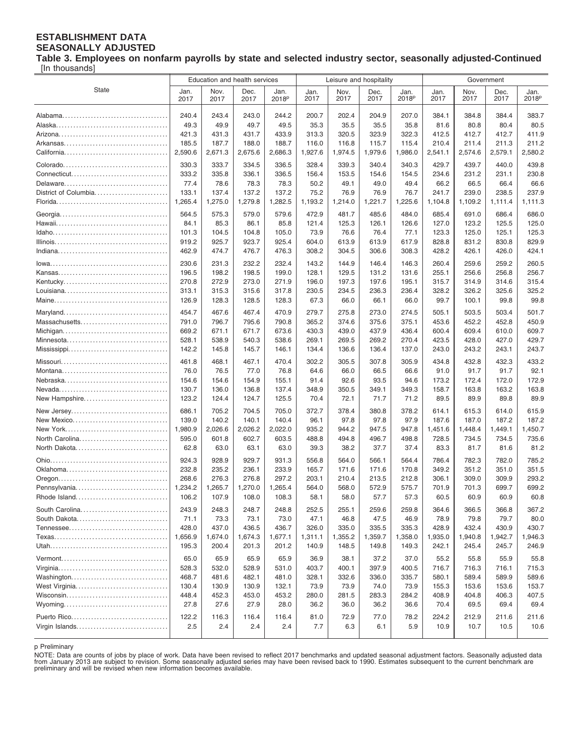#### **ESTABLISHMENT DATA SEASONALLY ADJUSTED**

**Table 3. Employees on nonfarm payrolls by state and selected industry sector, seasonally adjusted-Continued** [In thousands]

|                                |                  | Education and health services |                  |                           |                | Leisure and hospitality |                |                           | Government       |                  |                  |                           |
|--------------------------------|------------------|-------------------------------|------------------|---------------------------|----------------|-------------------------|----------------|---------------------------|------------------|------------------|------------------|---------------------------|
| <b>State</b>                   | Jan.<br>2017     | Nov.<br>2017                  | Dec.<br>2017     | Jan.<br>2018 <sup>p</sup> | Jan.<br>2017   | Nov.<br>2017            | Dec.<br>2017   | Jan.<br>2018 <sup>p</sup> | Jan.<br>2017     | Nov.<br>2017     | Dec.<br>2017     | Jan.<br>2018 <sup>p</sup> |
|                                | 240.4            | 243.4                         | 243.0            | 244.2                     | 200.7          | 202.4                   | 204.9          | 207.0                     | 384.1            | 384.8            | 384.4            | 383.7                     |
|                                | 49.3             | 49.9                          | 49.7             | 49.5                      | 35.3           | 35.5                    | 35.5           | 35.8                      | 81.6             | 80.8             | 80.4             | 80.5                      |
|                                | 421.3            | 431.3                         | 431.7            | 433.9                     | 313.3          | 320.5                   | 323.9          | 322.3                     | 412.5            | 412.7            | 412.7            | 411.9                     |
|                                | 185.5            | 187.7                         | 188.0            | 188.7                     | 116.0          | 116.8                   | 115.7          | 115.4                     | 210.4            | 211.4            | 211.3            | 211.2                     |
|                                | 2,590.6          | 2,671.3                       | 2,675.6          | 2,686.3                   | 1,927.6        | 1,974.5                 | 1,979.6        | 1,986.0                   | 2,541.1          | 2,574.6          | 2,579.1          | 2,580.2                   |
|                                |                  |                               |                  |                           |                |                         |                |                           |                  |                  |                  |                           |
|                                | 330.3<br>333.2   | 333.7                         | 334.5            | 336.5                     | 328.4          | 339.3                   | 340.4          | 340.3                     | 429.7            | 439.7            | 440.0            | 439.8                     |
|                                |                  | 335.8                         | 336.1            | 336.5                     | 156.4          | 153.5                   | 154.6          | 154.5                     | 234.6            | 231.2            | 231.1            | 230.8<br>66.6             |
| District of Columbia           | 77.4<br>133.1    | 78.6<br>137.4                 | 78.3<br>137.2    | 78.3<br>137.2             | 50.2<br>75.2   | 49.1<br>76.9            | 49.0<br>76.9   | 49.4<br>76.7              | 66.2<br>241.7    | 66.5<br>239.0    | 66.4<br>238.5    | 237.9                     |
|                                | 1,265.4          | 1,275.0                       | 1,279.8          | 1,282.5                   | 1,193.2        | 1,214.0                 | 1,221.7        | 1,225.6                   | 1,104.8          | 1,109.2          | 1,111.4          | 1,111.3                   |
|                                |                  |                               |                  |                           |                |                         |                |                           |                  |                  |                  |                           |
|                                | 564.5            | 575.3                         | 579.0            | 579.6                     | 472.9          | 481.7                   | 485.6          | 484.0                     | 685.4            | 691.0            | 686.4            | 686.0                     |
|                                | 84.1<br>101.3    | 85.3<br>104.5                 | 86.1<br>104.8    | 85.8                      | 121.4          | 125.3<br>76.6           | 126.1          | 126.6<br>77.1             | 127.0            | 123.2            | 125.5            | 125.0<br>125.3            |
|                                | 919.2            | 925.7                         | 923.7            | 105.0<br>925.4            | 73.9<br>604.0  | 613.9                   | 76.4<br>613.9  | 617.9                     | 123.3<br>828.8   | 125.0<br>831.2   | 125.1<br>830.8   | 829.9                     |
|                                | 462.9            | 474.7                         | 476.7            | 476.3                     | 308.2          | 304.5                   | 306.6          | 308.3                     | 428.2            | 426.1            | 426.0            | 424.1                     |
|                                |                  |                               |                  |                           |                |                         |                |                           |                  |                  |                  |                           |
|                                | 230.6            | 231.3                         | 232.2            | 232.4                     | 143.2          | 144.9                   | 146.4          | 146.3                     | 260.4            | 259.6            | 259.2            | 260.5                     |
|                                | 196.5<br>270.8   | 198.2<br>272.9                | 198.5<br>273.0   | 199.0<br>271.9            | 128.1<br>196.0 | 129.5<br>197.3          | 131.2<br>197.6 | 131.6<br>195.1            | 255.1<br>315.7   | 256.6<br>314.9   | 256.8<br>314.6   | 256.7<br>315.4            |
|                                | 313.1            | 315.3                         | 315.6            | 317.8                     | 230.5          | 234.5                   | 236.3          | 236.4                     | 328.2            | 326.2            | 325.6            | 325.2                     |
|                                | 126.9            | 128.3                         | 128.5            | 128.3                     | 67.3           | 66.0                    | 66.1           | 66.0                      | 99.7             | 100.1            | 99.8             | 99.8                      |
|                                |                  |                               |                  |                           |                |                         |                |                           |                  |                  |                  |                           |
|                                | 454.7            | 467.6                         | 467.4            | 470.9                     | 279.7          | 275.8                   | 273.0          | 274.5                     | 505.1            | 503.5            | 503.4            | 501.7                     |
| Massachusetts                  | 791.0            | 796.7                         | 795.6            | 790.8                     | 365.2          | 374.6                   | 375.6          | 375.1                     | 453.6            | 452.2            | 452.8            | 450.9                     |
| Minnesota                      | 669.2<br>528.1   | 671.1<br>538.9                | 671.7<br>540.3   | 673.6<br>538.6            | 430.3<br>269.1 | 439.0<br>269.5          | 437.9<br>269.2 | 436.4<br>270.4            | 600.4<br>423.5   | 609.4<br>428.0   | 610.0<br>427.0   | 609.7<br>429.7            |
|                                | 142.2            | 145.8                         | 145.7            | 146.1                     | 134.4          | 136.6                   | 136.4          | 137.0                     | 243.0            | 243.2            | 243.1            | 243.7                     |
|                                |                  |                               |                  |                           |                |                         |                |                           |                  |                  |                  |                           |
|                                | 461.8            | 468.1                         | 467.1            | 470.4                     | 302.2          | 305.5                   | 307.8          | 305.9                     | 434.8            | 432.8            | 432.3            | 433.2                     |
|                                | 76.0             | 76.5                          | 77.0             | 76.8                      | 64.6           | 66.0                    | 66.5           | 66.6                      | 91.0             | 91.7             | 91.7             | 92.1                      |
|                                | 154.6            | 154.6                         | 154.9            | 155.1                     | 91.4           | 92.6                    | 93.5           | 94.6                      | 173.2            | 172.4            | 172.0            | 172.9                     |
| New Hampshire                  | 130.7<br>123.2   | 136.0<br>124.4                | 136.8<br>124.7   | 137.4<br>125.5            | 348.9<br>70.4  | 350.5<br>72.1           | 349.1<br>71.7  | 349.3<br>71.2             | 158.7<br>89.5    | 163.8<br>89.9    | 163.2<br>89.8    | 163.8<br>89.9             |
|                                |                  |                               |                  |                           |                |                         |                |                           |                  |                  |                  |                           |
| New Jersey                     | 686.1            | 705.2                         | 704.5            | 705.0                     | 372.7          | 378.4                   | 380.8          | 378.2                     | 614.1            | 615.3            | 614.0            | 615.9                     |
| New Mexico                     | 139.0            | 140.2                         | 140.1            | 140.4                     | 96.1           | 97.8                    | 97.8           | 97.9                      | 187.6            | 187.0            | 187.2            | 187.2                     |
|                                | 1,980.9<br>595.0 | 2,026.6<br>601.8              | 2,026.2          | 2,022.0                   | 935.2<br>488.8 | 944.2<br>494.8          | 947.5          | 947.8<br>498.8            | 1,451.6<br>728.5 | 1,448.4<br>734.5 | 1,449.1<br>734.5 | 1,450.7<br>735.6          |
| North Carolina<br>North Dakota | 62.8             | 63.0                          | 602.7<br>63.1    | 603.5<br>63.0             | 39.3           | 38.2                    | 496.7<br>37.7  | 37.4                      | 83.3             | 81.7             | 81.6             | 81.2                      |
|                                |                  |                               |                  |                           |                |                         |                |                           |                  |                  |                  |                           |
|                                | 924.3            | 928.9                         | 929.7            | 931.3                     | 556.8          | 564.0                   | 566.1          | 564.4                     | 786.4            | 782.3            | 782.0            | 785.2                     |
|                                | 232.8            | 235.2                         | 236.1            | 233.9                     | 165.7          | 171.6                   | 171.6          | 170.8                     | 349.2            | 351.2            | 351.0            | 351.5                     |
| Pennsylvania                   | 268.6<br>1,234.2 | 276.3<br>1,265.7              | 276.8<br>1,270.0 | 297.2<br>1,265.4          | 203.1<br>564.0 | 210.4<br>568.0          | 213.5<br>572.9 | 212.8<br>575.7            | 306.1<br>701.9   | 309.0<br>701.3   | 309.9<br>699.7   | 293.2<br>699.2            |
| Rhode Island                   | 106.2            | 107.9                         | 108.0            | 108.3                     | 58.1           | 58.0                    | 57.7           | 57.3                      | 60.5             | 60.9             | 60.9             | 60.8                      |
| South Carolina                 | 243.9            | 248.3                         | 248.7            | 248.8                     | 252.5          | 255.1                   | 259.6          | 259.8                     | 364.6            | 366.5            | 366.8            | 367.2                     |
| South Dakota                   | 71.1             | 73.3                          | 73.1             | 73.0                      | 47.1           | 46.8                    | 47.5           | 46.9                      | 78.9             | 79.8             | 79.7             | 80.0                      |
|                                | 428.0            | 437.0                         | 436.5            | 436.7                     | 326.0          | 335.0                   | 335.5          | 335.3                     | 428.9            | 432.4            | 430.9            | 430.7                     |
|                                | 1,656.9          | 1,674.0                       | 1,674.3          | 1,677.1                   | 1,311.1        | 1,355.2                 | 1,359.7        | 1,358.0                   | 1,935.0          | 1,940.8          | 1,942.7          | 1,946.3                   |
|                                | 195.3            | 200.4                         | 201.3            | 201.2                     | 140.9          | 148.5                   | 149.8          | 149.3                     | 242.1            | 245.4            | 245.7            | 246.9                     |
|                                | 65.0             | 65.9                          | 65.9             | 65.9                      | 36.9           | 38.1                    | 37.2           | 37.0                      | 55.2             | 55.8             | 55.9             | 55.8                      |
|                                | 528.3            | 532.0                         | 528.9            | 531.0                     | 403.7          | 400.1                   | 397.9          | 400.5                     | 716.7            | 716.3            | 716.1            | 715.3                     |
| Washington                     | 468.7            | 481.6                         | 482.1            | 481.0                     | 328.1          | 332.6                   | 336.0          | 335.7                     | 580.1            | 589.4            | 589.9            | 589.6                     |
| West Virginia                  | 130.4            | 130.9                         | 130.9            | 132.1                     | 73.9           | 73.9                    | 74.0           | 73.9                      | 155.3            | 153.6            | 153.6            | 153.7                     |
|                                | 448.4            | 452.3                         | 453.0            | 453.2                     | 280.0          | 281.5                   | 283.3          | 284.2                     | 408.9            | 404.8            | 406.3            | 407.5                     |
|                                | 27.8             | 27.6                          | 27.9             | 28.0                      | 36.2           | 36.0                    | 36.2           | 36.6                      | 70.4             | 69.5             | 69.4             | 69.4                      |
|                                | 122.2            | 116.3                         | 116.4            | 116.4                     | 81.0           | 72.9                    | 77.0           | 78.2                      | 224.2            | 212.9            | 211.6            | 211.6                     |
| Virgin Islands                 | 2.5              | 2.4                           | 2.4              | 2.4                       | 7.7            | 6.3                     | 6.1            | 5.9                       | 10.9             | 10.7             | 10.5             | 10.6                      |
|                                |                  |                               |                  |                           |                |                         |                |                           |                  |                  |                  |                           |

p Preliminary

NOTE: Data are counts of jobs by place of work. Data have been revised to reflect 2017 benchmarks and updated seasonal adjustment factors. Seasonally adjusted data<br>from January 2013 are subject to revision. Some seasonally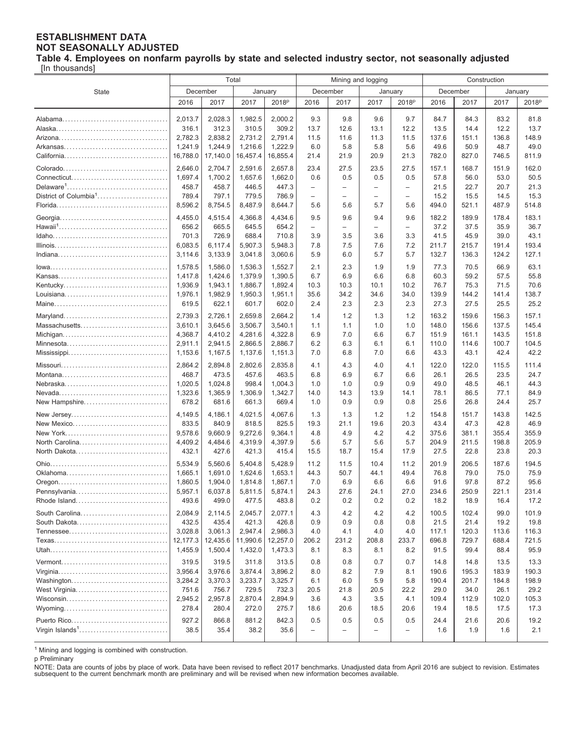#### **ESTABLISHMENT DATA NOT SEASONALLY ADJUSTED Table 4. Employees on nonfarm payrolls by state and selected industry sector, not seasonally adjusted**

[In thousands]

|                                   | Total              |                    |                    |                    |                          |                | Mining and logging       |                          | Construction   |                |                |                   |
|-----------------------------------|--------------------|--------------------|--------------------|--------------------|--------------------------|----------------|--------------------------|--------------------------|----------------|----------------|----------------|-------------------|
| <b>State</b>                      | December           |                    |                    | January            |                          | December       |                          | January                  |                | December       |                | January           |
|                                   | 2016               | 2017               | 2017               | 2018 <sup>p</sup>  | 2016                     | 2017           | 2017                     | 2018 <sup>p</sup>        | 2016           | 2017           | 2017           | 2018 <sup>p</sup> |
|                                   |                    |                    |                    |                    |                          |                |                          |                          |                |                |                |                   |
|                                   | 2,013.7            | 2,028.3            | 1,982.5            | 2,000.2            | 9.3                      | 9.8            | 9.6                      | 9.7                      | 84.7           | 84.3           | 83.2           | 81.8              |
|                                   | 316.1              | 312.3              | 310.5              | 309.2              | 13.7                     | 12.6           | 13.1                     | 12.2                     | 13.5           | 14.4           | 12.2           | 13.7              |
|                                   | 2,782.3            | 2,838.2            | 2,731.2            | 2,791.4            | 11.5                     | 11.6           | 11.3                     | 11.5                     | 137.6          | 151.1          | 136.8          | 148.9             |
|                                   | 1,241.9            | 1,244.9            | 1,216.6            | 1,222.9            | 6.0                      | 5.8            | 5.8                      | 5.6                      | 49.6           | 50.9           | 48.7           | 49.0              |
|                                   | 16,788.0           | 17,140.0           | 16,457.4           | 16,855.4           | 21.4                     | 21.9           | 20.9                     | 21.3                     | 782.0          | 827.0          | 746.5          | 811.9             |
|                                   | 2,646.0            | 2,704.7            | 2,591.6            | 2,657.8            | 23.4                     | 27.5           | 23.5                     | 27.5                     | 157.1          | 168.7          | 151.9          | 162.0             |
|                                   | 1,697.4            | 1,700.2            | 1,657.6            | 1,662.0            | 0.6                      | 0.5            | 0.5                      | 0.5                      | 57.8           | 56.0           | 53.0           | 50.5              |
|                                   | 458.7              | 458.7              | 446.5              | 447.3              | $\overline{\phantom{0}}$ | $\equiv$       | $\overline{\phantom{0}}$ | $\overline{\phantom{0}}$ | 21.5           | 22.7           | 20.7           | 21.3              |
| District of Columbia <sup>1</sup> | 789.4              | 797.1              | 779.5              | 786.9              | $\overline{\phantom{0}}$ | $\overline{a}$ | $\overline{\phantom{0}}$ | $\overline{\phantom{0}}$ | 15.2           | 15.5           | 14.5           | 15.3              |
|                                   | 8,596.2            | 8,754.5            | 8,487.9            | 8,644.7            | 5.6                      | 5.6            | 5.7                      | 5.6                      | 494.0          | 521.1          | 487.9          | 514.8             |
|                                   | 4,455.0            | 4,515.4            | 4,366.8            | 4,434.6            | 9.5                      | 9.6            | 9.4                      | 9.6                      | 182.2          | 189.9          | 178.4          | 183.1             |
|                                   | 656.2              | 665.5              | 645.5              | 654.2              | $\overline{\phantom{0}}$ | $\overline{a}$ | $\overline{\phantom{0}}$ | $\qquad \qquad -$        | 37.2           | 37.5           | 35.9           | 36.7              |
|                                   | 701.3              | 726.9              | 688.4              | 710.8              | 3.9                      | 3.5            | 3.6                      | 3.3                      | 41.5           | 45.9           | 39.0           | 43.1              |
|                                   | 6,083.5            | 6,117.4            | 5,907.3            | 5,948.3            | 7.8                      | 7.5            | 7.6                      | 7.2                      | 211.7          | 215.7          | 191.4          | 193.4             |
|                                   | 3,114.6            | 3,133.9            | 3,041.8            | 3,060.6            | 5.9                      | 6.0            | 5.7                      | 5.7                      | 132.7          | 136.3          | 124.2          | 127.1             |
|                                   | 1.578.5            | 1,586.0            | 1,536.3            | 1,552.7            | 2.1                      | 2.3            | 1.9                      | 1.9                      | 77.3           | 70.5           | 66.9           | 63.1              |
|                                   | 1.417.8            | 1,424.6            | 1,379.9            | 1,390.5            | 6.7                      | 6.9            | 6.6                      | 6.8                      | 60.3           | 59.2           | 57.5           | 55.8              |
|                                   | 1,936.9            | 1,943.1            | 1,886.7            | 1,892.4            | 10.3                     | 10.3           | 10.1                     | 10.2                     | 76.7           | 75.3           | 71.5           | 70.6              |
|                                   | 1,976.1<br>619.5   | 1,982.9<br>622.1   | 1,950.3<br>601.7   | 1,951.1<br>602.0   | 35.6<br>2.4              | 34.2<br>2.3    | 34.6<br>2.3              | 34.0<br>2.3              | 139.9<br>27.3  | 144.2<br>27.5  | 141.4<br>25.5  | 138.7<br>25.2     |
|                                   |                    |                    |                    |                    |                          |                |                          |                          |                |                |                |                   |
|                                   | 2,739.3            | 2,726.1            | 2.659.8            | 2.664.2            | 1.4                      | 1.2            | 1.3                      | 1.2                      | 163.2          | 159.6          | 156.3          | 157.1             |
| Massachusetts                     | 3,610.1            | 3,645.6            | 3,506.7            | 3,540.1            | 1.1                      | 1.1            | 1.0                      | 1.0                      | 148.0          | 156.6          | 137.5          | 145.4             |
| Minnesota                         | 4,368.7<br>2,911.1 | 4,410.2<br>2,941.5 | 4,281.6<br>2,866.5 | 4,322.8<br>2,886.7 | 6.9<br>6.2               | 7.0<br>6.3     | 6.6<br>6.1               | 6.7<br>6.1               | 151.9<br>110.0 | 161.1<br>114.6 | 143.5<br>100.7 | 151.8<br>104.5    |
|                                   | 1,153.6            | 1,167.5            | 1,137.6            | 1,151.3            | 7.0                      | 6.8            | 7.0                      | 6.6                      | 43.3           | 43.1           | 42.4           | 42.2              |
|                                   |                    |                    |                    |                    |                          |                |                          |                          |                |                |                |                   |
|                                   | 2,864.2<br>468.7   | 2,894.8<br>473.5   | 2,802.6<br>457.6   | 2,835.8            | 4.1                      | 4.3<br>6.9     | 4.0                      | 4.1                      | 122.0          | 122.0<br>26.5  | 115.5<br>23.5  | 111.4             |
|                                   | 1,020.5            | 1,024.8            | 998.4              | 463.5<br>1,004.3   | 6.8<br>1.0               | 1.0            | 6.7<br>0.9               | 6.6<br>0.9               | 26.1<br>49.0   | 48.5           | 46.1           | 24.7<br>44.3      |
|                                   | 1,323.6            | 1,365.9            | 1,306.9            | 1,342.7            | 14.0                     | 14.3           | 13.9                     | 14.1                     | 78.1           | 86.5           | 77.1           | 84.9              |
| New Hampshire                     | 678.2              | 681.6              | 661.3              | 669.4              | 1.0                      | 0.9            | 0.9                      | 0.8                      | 25.6           | 26.8           | 24.4           | 25.7              |
| New Jersey                        | 4,149.5            | 4,186.1            | 4,021.5            | 4,067.6            | 1.3                      | 1.3            | 1.2                      | 1.2                      | 154.8          | 151.7          | 143.8          | 142.5             |
| New Mexico                        | 833.5              | 840.9              | 818.5              | 825.5              | 19.3                     | 21.1           | 19.6                     | 20.3                     | 43.4           | 47.3           | 42.8           | 46.9              |
|                                   | 9,578.6            | 9,660.9            | 9,272.6            | 9,364.1            | 4.8                      | 4.9            | 4.2                      | 4.2                      | 375.6          | 381.1          | 355.4          | 355.9             |
| North Carolina                    | 4,409.2            | 4,484.6            | 4,319.9            | 4,397.9            | 5.6                      | 5.7            | 5.6                      | 5.7                      | 204.9          | 211.5          | 198.8          | 205.9             |
| North Dakota                      | 432.1              | 427.6              | 421.3              | 415.4              | 15.5                     | 18.7           | 15.4                     | 17.9                     | 27.5           | 22.8           | 23.8           | 20.3              |
|                                   | 5,534.9            | 5,560.6            | 5,404.8            | 5,428.9            | 11.2                     | 11.5           | 10.4                     | 11.2                     | 201.9          | 206.5          | 187.6          | 194.5             |
|                                   | 1,665.1            | 1,691.0            | 1,624.6<br>1.814.8 | 1,653.1            | 44.3                     | 50.7           | 44.1                     | 49.4                     | 76.8           | 79.0           | 75.0           | 75.9              |
| Pennsylvania                      | 1,860.5<br>5,957.1 | 1,904.0<br>6,037.8 | 5,811.5            | 1,867.1<br>5,874.1 | 7.0<br>24.3              | 6.9<br>27.6    | 6.6<br>24.1              | 6.6<br>27.0              | 91.6<br>234.6  | 97.8<br>250.9  | 87.2<br>221.1  | 95.6<br>231.4     |
| Rhode Island                      | 493.6              | 499.0              | 477.5              | 483.8              | 0.2                      | 0.2            | $0.2\,$                  | 0.2                      | 18.2           | 18.9           | 16.4           | 17.2              |
|                                   |                    |                    |                    |                    |                          |                |                          |                          |                |                |                |                   |
| South Carolina<br>South Dakota    | 2,084.9<br>432.5   | 2,114.5<br>435.4   | 2,045.7<br>421.3   | 2,077.1<br>426.8   | 4.3<br>0.9               | 4.2<br>0.9     | 4.2<br>0.8               | 4.2<br>0.8               | 100.5<br>21.5  | 102.4<br>21.4  | 99.0<br>19.2   | 101.9<br>19.8     |
|                                   | 3,028.8            | 3,061.3            | 2,947.4            | 2,986.3            | 4.0                      | 4.1            | 4.0                      | 4.0                      | 117.1          | 120.3          | 113.6          | 116.3             |
|                                   | 12,177.3           | 12,435.6           | 11,990.6           | 12,257.0           | 206.2                    | 231.2          | 208.8                    | 233.7                    | 696.8          | 729.7          | 688.4          | 721.5             |
|                                   | 1,455.9            | 1,500.4            | 1,432.0            | 1,473.3            | 8.1                      | 8.3            | 8.1                      | 8.2                      | 91.5           | 99.4           | 88.4           | 95.9              |
|                                   | 319.5              | 319.5              | 311.8              | 313.5              | 0.8                      | 0.8            | 0.7                      | 0.7                      | 14.8           | 14.8           | 13.5           | 13.3              |
|                                   | 3,956.4            | 3,976.6            | 3,874.4            | 3,896.2            | 8.0                      | 8.2            | 7.9                      | 8.1                      | 190.6          | 195.3          | 183.9          | 190.3             |
|                                   | 3,284.2            | 3,370.3            | 3,233.7            | 3,325.7            | 6.1                      | 6.0            | 5.9                      | 5.8                      | 190.4          | 201.7          | 184.8          | 198.9             |
| West Virginia                     | 751.6              | 756.7              | 729.5              | 732.3              | 20.5                     | 21.8           | 20.5                     | 22.2                     | 29.0           | 34.0           | 26.1           | 29.2              |
|                                   | 2,945.2            | 2,957.8            | 2,870.4            | 2,894.9            | 3.6                      | 4.3            | 3.5                      | 4.1                      | 109.4          | 112.9          | 102.0          | 105.3             |
|                                   | 278.4              | 280.4              | 272.0              | 275.7              | 18.6                     | 20.6           | 18.5                     | 20.6                     | 19.4           | 18.5           | 17.5           | 17.3              |
|                                   | 927.2              | 866.8              | 881.2              | 842.3              | 0.5                      | 0.5            | 0.5                      | 0.5                      | 24.4           | 21.6           | 20.6           | 19.2              |
|                                   | 38.5               | 35.4               | 38.2               | 35.6               | -                        |                |                          | $\overline{\phantom{0}}$ | 1.6            | 1.9            | 1.6            | 2.1               |
|                                   |                    |                    |                    |                    |                          |                |                          |                          |                |                |                |                   |

<sup>1</sup> Mining and logging is combined with construction.

p Preliminary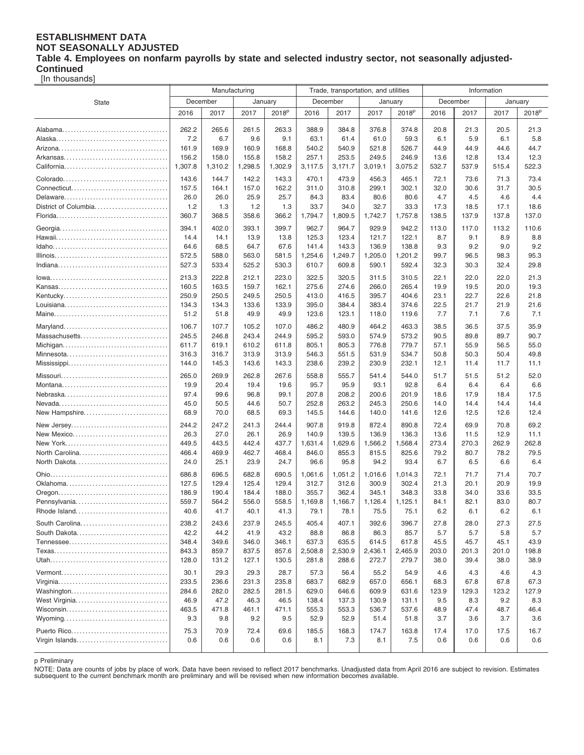#### **ESTABLISHMENT DATA NOT SEASONALLY ADJUSTED Table 4. Employees on nonfarm payrolls by state and selected industry sector, not seasonally adjusted-Continued**

[In thousands]

|                      | Manufacturing  |                |                | Trade, transportation, and utilities |                |                | Information    |                   |              |              |              |                   |
|----------------------|----------------|----------------|----------------|--------------------------------------|----------------|----------------|----------------|-------------------|--------------|--------------|--------------|-------------------|
| <b>State</b>         |                | December       | January        |                                      |                | December       |                | January           |              | December     |              | January           |
|                      | 2016           | 2017           | 2017           | 2018 <sup>p</sup>                    | 2016           | 2017           | 2017           | 2018 <sup>p</sup> | 2016         | 2017         | 2017         | 2018 <sup>p</sup> |
|                      |                |                |                |                                      |                |                |                |                   |              |              |              |                   |
|                      | 262.2          | 265.6          | 261.5          | 263.3                                | 388.9          | 384.8          | 376.8          | 374.8             | 20.8         | 21.3         | 20.5         | 21.3              |
|                      | 7.2            | 6.7            | 9.6            | 9.1                                  | 63.1           | 61.4           | 61.0           | 59.3              | 6.1          | 5.9          | 6.1          | 5.8               |
|                      | 161.9          | 169.9          | 160.9          | 168.8                                | 540.2          | 540.9          | 521.8          | 526.7             | 44.9         | 44.9         | 44.6         | 44.7              |
|                      | 156.2          | 158.0          | 155.8          | 158.2                                | 257.1          | 253.5          | 249.5          | 246.9             | 13.6         | 12.8         | 13.4         | 12.3              |
|                      | 1,307.8        | 1,310.2        | 1,298.5        | 1,302.9                              | 3,117.5        | 3,171.7        | 3,019.1        | 3,075.2           | 532.7        | 537.9        | 515.4        | 522.3             |
|                      | 143.6          | 144.7          | 142.2          | 143.3                                | 470.1          | 473.9          | 456.3          | 465.1             | 72.1         | 73.6         | 71.3         | 73.4              |
|                      | 157.5          | 164.1          | 157.0          | 162.2                                | 311.0          | 310.8          | 299.1          | 302.1             | 32.0         | 30.6         | 31.7         | 30.5              |
|                      | 26.0           | 26.0           | 25.9           | 25.7                                 | 84.3           | 83.4           | 80.6           | 80.6              | 4.7          | 4.5          | 4.6          | 4.4               |
| District of Columbia | 1.2            | 1.3            | 1.2            | 1.3                                  | 33.7           | 34.0           | 32.7           | 33.3              | 17.3         | 18.5         | 17.1         | 18.6              |
|                      | 360.7          | 368.5          | 358.6          | 366.2                                | 1,794.7        | 1,809.5        | 1,742.7        | 1,757.8           | 138.5        | 137.9        | 137.8        | 137.0             |
|                      | 394.1          | 402.0          | 393.1          | 399.7                                | 962.7          | 964.7          | 929.9          | 942.2             | 113.0        | 117.0        | 113.2        | 110.6             |
|                      | 14.4           | 14.1           | 13.9           | 13.8                                 | 125.3          | 123.4          | 121.7          | 122.1             | 8.7          | 9.1          | 8.9          | 8.8               |
|                      | 64.6           | 68.5           | 64.7           | 67.6                                 | 141.4          | 143.3          | 136.9          | 138.8             | 9.3          | 9.2          | 9.0          | 9.2               |
|                      | 572.5          | 588.0          | 563.0          | 581.5                                | 1,254.6        | 1,249.7        | 1,205.0        | 1,201.2           | 99.7         | 96.5         | 98.3         | 95.3              |
|                      | 527.3          | 533.4          | 525.2          | 530.3                                | 610.7          | 609.8          | 590.1          | 592.4             | 32.3         | 30.3         | 32.4         | 29.8              |
|                      | 213.3          | 222.8          | 212.1          | 223.0                                | 322.5          | 320.5          | 311.5          | 310.5             | 22.1         | 22.0         | 22.0         | 21.3              |
|                      |                | 163.5          | 159.7          | 162.1                                | 275.6          | 274.6          | 266.0          | 265.4             | 19.9         | 19.5         |              | 19.3              |
|                      | 160.5<br>250.9 | 250.5          | 249.5          | 250.5                                | 413.0          | 416.5          | 395.7          | 404.6             | 23.1         | 22.7         | 20.0<br>22.6 | 21.8              |
|                      | 134.3          | 134.3          | 133.6          | 133.9                                | 395.0          | 384.4          | 383.4          | 374.6             | 22.5         | 21.7         | 21.9         | 21.6              |
|                      | 51.2           | 51.8           | 49.9           | 49.9                                 | 123.6          | 123.1          | 118.0          | 119.6             | 7.7          | 7.1          | 7.6          | 7.1               |
|                      |                |                |                |                                      |                |                |                |                   |              |              |              |                   |
|                      | 106.7          | 107.7          | 105.2          | 107.0                                | 486.2          | 480.9          | 464.2          | 463.3             | 38.5         | 36.5         | 37.5         | 35.9              |
| Massachusetts        | 245.5          | 246.8          | 243.4          | 244.9                                | 595.2          | 593.0          | 574.9          | 573.2             | 90.5         | 89.8         | 89.7         | 90.7              |
| Minnesota            | 611.7          | 619.1<br>316.7 | 610.2<br>313.9 | 611.8<br>313.9                       | 805.1<br>546.3 | 805.3<br>551.5 | 776.8<br>531.9 | 779.7<br>534.7    | 57.1<br>50.8 | 55.9<br>50.3 | 56.5<br>50.4 | 55.0<br>49.8      |
|                      | 316.3<br>144.0 | 145.3          | 143.6          | 143.3                                | 238.6          | 239.2          | 230.9          | 232.1             | 12.1         | 11.4         | 11.7         | 11.1              |
|                      |                |                |                |                                      |                |                |                |                   |              |              |              |                   |
|                      | 265.0          | 269.9          | 262.8          | 267.6                                | 558.8          | 555.7          | 541.4          | 544.0             | 51.7         | 51.5         | 51.2         | 52.0              |
|                      | 19.9           | 20.4           | 19.4           | 19.6                                 | 95.7           | 95.9           | 93.1           | 92.8              | 6.4          | 6.4          | 6.4          | 6.6               |
|                      | 97.4           | 99.6           | 96.8           | 99.1                                 | 207.8          | 208.2          | 200.6          | 201.9             | 18.6         | 17.9         | 18.4         | 17.5              |
|                      | 45.0           | 50.5<br>70.0   | 44.6           | 50.7                                 | 252.8          | 263.2          | 245.3          | 250.6             | 14.0<br>12.6 | 14.4<br>12.5 | 14.4         | 14.4<br>12.4      |
| New Hampshire        | 68.9           |                | 68.5           | 69.3                                 | 145.5          | 144.6          | 140.0          | 141.6             |              |              | 12.6         |                   |
| New Jersey           | 244.2          | 247.2          | 241.3          | 244.4                                | 907.8          | 919.8          | 872.4          | 890.8             | 72.4         | 69.9         | 70.8         | 69.2              |
| New Mexico           | 26.3           | 27.0           | 26.1           | 26.9                                 | 140.9          | 139.5          | 136.9          | 136.3             | 13.6         | 11.5         | 12.9         | 11.1              |
|                      | 449.5          | 443.5          | 442.4          | 437.7                                | 1,631.4        | 1,629.6        | 1,566.2        | 1,568.4           | 273.4        | 270.3        | 262.9        | 262.8             |
| North Carolina       | 466.4          | 469.9          | 462.7          | 468.4                                | 846.0          | 855.3          | 815.5          | 825.6             | 79.2         | 80.7         | 78.2         | 79.5              |
| North Dakota         | 24.0           | 25.1           | 23.9           | 24.7                                 | 96.6           | 95.8           | 94.2           | 93.4              | 6.7          | 6.5          | 6.6          | 6.4               |
|                      | 686.8          | 696.5          | 682.8          | 690.5                                | 1,061.6        | 1,051.2        | 1,016.6        | 1,014.3           | 72.1         | 71.7         | 71.4         | 70.7              |
|                      | 127.5          | 129.4          | 125.4          | 129.4                                | 312.7          | 312.6          | 300.9          | 302.4             | 21.3         | 20.1         | 20.9         | 19.9              |
|                      | 186.9          | 190.4          | 184.4          | 188.0                                | 355.7          | 362.4          | 345.1          | 348.3             | 33.8         | 34.0         | 33.6         | 33.5              |
| Pennsylvania         | 559.7          | 564.2          | 556.0          | 558.5                                | 1,169.8        | 1,166.7        | 1,126.4        | 1,125.1           | 84.1         | 82.1         | 83.0         | 80.7              |
| Rhode Island         | 40.6           | 41.7           | 40.1           | 41.3                                 | 79.1           | 78.1           | 75.5           | 75.1              | 6.2          | 6.1          | 6.2          | 6.1               |
| South Carolina       | 238.2          | 243.6          | 237.9          | 245.5                                | 405.4          | 407.1          | 392.6          | 396.7             | 27.8         | 28.0         | 27.3         | 27.5              |
| South Dakota         | 42.2           | 44.2           | 41.9           | 43.2                                 | 88.8           | 86.8           | 86.3           | 85.7              | 5.7          | 5.7          | 5.8          | 5.7               |
|                      | 348.4          | 349.6          | 346.0          | 346.1                                | 637.3          | 635.5          | 614.5          | 617.8             | 45.5         | 45.7         | 45.1         | 43.9              |
|                      | 843.3          | 859.7          | 837.5          | 857.6                                | 2,508.8        | 2,530.9        | 2,436.1        | 2,465.9           | 203.0        | 201.3        | 201.0        | 198.8             |
|                      | 128.0          | 131.2          | 127.1          | 130.5                                | 281.8          | 288.6          | 272.7          | 279.7             | 38.0         | 39.4         | 38.0         | 38.9              |
|                      | 30.1           | 29.3           | 29.3           | 28.7                                 | 57.3           | 56.4           | 55.2           | 54.9              | 4.6          | 4.3          | 4.6          | 4.3               |
|                      | 233.5          | 236.6          | 231.3          | 235.8                                | 683.7          | 682.9          | 657.0          | 656.1             | 68.3         | 67.8         | 67.8         | 67.3              |
|                      | 284.6          | 282.0          | 282.5          | 281.5                                | 629.0          | 646.6          | 609.9          | 631.6             | 123.9        | 129.3        | 123.2        | 127.9             |
| West Virginia        | 46.9           | 47.2           | 46.3           | 46.5                                 | 138.4          | 137.3          | 130.9          | 131.1             | 9.5          | 8.3          | 9.2          | 8.3               |
|                      | 463.5          | 471.8          | 461.1          | 471.1                                | 555.3          | 553.3          | 536.7          | 537.6             | 48.9         | 47.4         | 48.7         | 46.4              |
|                      | 9.3            | 9.8            | 9.2            | 9.5                                  | 52.9           | 52.9           | 51.4           | 51.8              | 3.7          | 3.6          | 3.7          | 3.6               |
|                      | 75.3           | 70.9           | 72.4           | 69.6                                 | 185.5          | 168.3          | 174.7          | 163.8             | 17.4         | 17.0         | 17.5         | 16.7              |
| Virgin Islands       | 0.6            | 0.6            | 0.6            | 0.6                                  | 8.1            | 7.3            | 8.1            | 7.5               | 0.6          | 0.6          | 0.6          | 0.6               |
|                      |                |                |                |                                      |                |                |                |                   |              |              |              |                   |

p Preliminary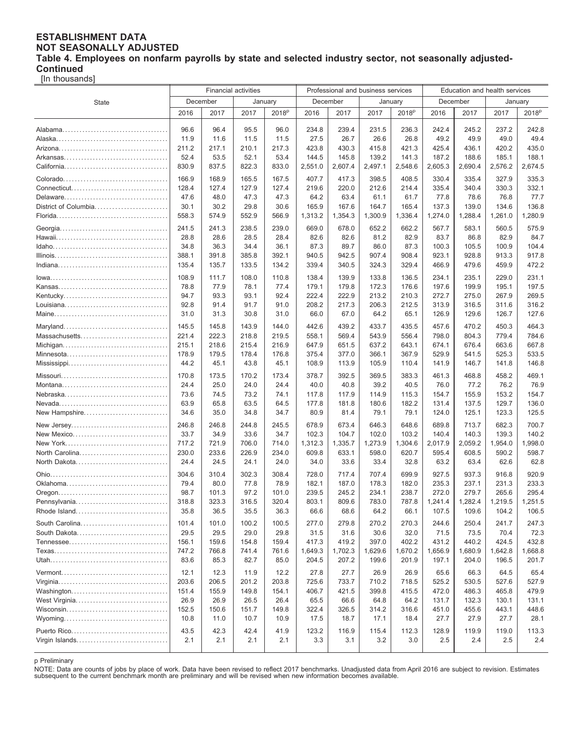#### **ESTABLISHMENT DATA NOT SEASONALLY ADJUSTED Table 4. Employees on nonfarm payrolls by state and selected industry sector, not seasonally adjusted-Continued**

[In thousands]

|                                | <b>Financial activities</b> |                |                |                   |                  | Professional and business services |                  |                   | Education and health services |                  |                  |                   |
|--------------------------------|-----------------------------|----------------|----------------|-------------------|------------------|------------------------------------|------------------|-------------------|-------------------------------|------------------|------------------|-------------------|
| <b>State</b>                   | December<br>January         |                |                |                   | December         | January                            |                  | December          |                               | January          |                  |                   |
|                                | 2016                        | 2017           | 2017           | 2018 <sup>p</sup> | 2016             | 2017                               | 2017             | 2018 <sup>p</sup> | 2016                          | 2017             | 2017             | 2018 <sup>p</sup> |
|                                |                             |                |                |                   |                  |                                    |                  |                   |                               |                  |                  |                   |
|                                | 96.6                        | 96.4           | 95.5           | 96.0              | 234.8            | 239.4                              | 231.5            | 236.3             | 242.4                         | 245.2            | 237.2            | 242.8             |
|                                | 11.9                        | 11.6           | 11.5           | 11.5              | 27.5             | 26.7                               | 26.6             | 26.8              | 49.2                          | 49.9             | 49.0             | 49.4              |
|                                | 211.2                       | 217.1          | 210.1          | 217.3             | 423.8            | 430.3                              | 415.8            | 421.3             | 425.4                         | 436.1            | 420.2            | 435.0             |
|                                | 52.4                        | 53.5           | 52.1           | 53.4              | 144.5            | 145.8                              | 139.2            | 141.3             | 187.2                         | 188.6            | 185.1            | 188.1             |
|                                | 830.9                       | 837.5          | 822.3          | 833.0             | 2,551.0          | 2,607.4                            | 2,497.1          | 2,548.6           | 2,605.3                       | 2,690.4          | 2,576.2          | 2,674.5           |
|                                | 166.9                       | 168.9          | 165.5          | 167.5             | 407.7            | 417.3                              | 398.5            | 408.5             | 330.4                         | 335.4            | 327.9            | 335.3             |
|                                | 128.4                       | 127.4          | 127.9          | 127.4             | 219.6            | 220.0                              | 212.6            | 214.4             | 335.4                         | 340.4            | 330.3            | 332.1             |
| Delaware                       | 47.6                        | 48.0           | 47.3           | 47.3              | 64.2             | 63.4                               | 61.1             | 61.7              | 77.8                          | 78.6             | 76.8             | 77.7              |
| District of Columbia           | 30.1                        | 30.2           | 29.8           | 30.6              | 165.9            | 167.6                              | 164.7            | 165.4             | 137.3                         | 139.0            | 134.6            | 136.8             |
|                                | 558.3                       | 574.9          | 552.9          | 566.9             | 1,313.2          | 1,354.3                            | 1,300.9          | 1,336.4           | 1,274.0                       | 1,288.4          | 1,261.0          | 1,280.9           |
|                                | 241.5                       | 241.3          | 238.5          | 239.0             | 669.0            | 678.0                              | 652.2            | 662.2             | 567.7                         | 583.1            | 560.5            | 575.9             |
|                                | 28.8                        | 28.6           | 28.5           | 28.4              | 82.6             | 82.6                               | 81.2             | 82.9              | 83.7                          | 86.8             | 82.9             | 84.7              |
|                                | 34.8                        | 36.3           | 34.4           | 36.1              | 87.3             | 89.7                               | 86.0             | 87.3              | 100.3                         | 105.5            | 100.9            | 104.4             |
|                                | 388.1                       | 391.8          | 385.8          | 392.1             | 940.5            | 942.5                              | 907.4            | 908.4             | 923.1                         | 928.8            | 913.3            | 917.8             |
|                                | 135.4                       | 135.7          | 133.5          | 134.2             | 339.4            | 340.5                              | 324.3            | 329.4             | 466.9                         | 479.6            | 459.9            | 472.2             |
|                                | 108.9                       | 111.7          | 108.0          | 110.8             | 138.4            | 139.9                              | 133.8            | 136.5             | 234.1                         | 235.1            | 229.0            | 231.1             |
|                                | 78.8                        | 77.9           | 78.1           | 77.4              | 179.1            | 179.8                              | 172.3            | 176.6             | 197.6                         | 199.9            | 195.1            | 197.5             |
|                                | 94.7                        | 93.3           | 93.1           | 92.4              | 222.4            | 222.9                              | 213.2            | 210.3             | 272.7                         | 275.0            | 267.9            | 269.5             |
|                                | 92.8                        | 91.4           | 91.7           | 91.0              | 208.2            | 217.3                              | 206.3            | 212.5             | 313.9                         | 316.5            | 311.6            | 316.2             |
|                                | 31.0                        | 31.3           | 30.8           | 31.0              | 66.0             | 67.0                               | 64.2             | 65.1              | 126.9                         | 129.6            | 126.7            | 127.6             |
|                                |                             |                |                |                   |                  |                                    |                  |                   |                               |                  |                  |                   |
| Massachusetts                  | 145.5<br>221.4              | 145.8<br>222.3 | 143.9<br>218.8 | 144.0<br>219.5    | 442.6<br>558.1   | 439.2<br>569.4                     | 433.7<br>543.9   | 435.5<br>556.4    | 457.6<br>798.0                | 470.2<br>804.3   | 450.3<br>779.4   | 464.3<br>784.6    |
|                                | 215.1                       | 218.6          | 215.4          | 216.9             | 647.9            | 651.5                              | 637.2            | 643.1             | 674.1                         | 676.4            | 663.6            | 667.8             |
| Minnesota                      | 178.9                       | 179.5          | 178.4          | 176.8             | 375.4            | 377.0                              | 366.1            | 367.9             | 529.9                         | 541.5            | 525.3            | 533.5             |
|                                | 44.2                        | 45.1           | 43.8           | 45.1              | 108.9            | 113.9                              | 105.9            | 110.4             | 141.9                         | 146.7            | 141.8            | 146.8             |
|                                |                             |                |                |                   |                  |                                    |                  |                   |                               |                  |                  |                   |
|                                | 170.8                       | 173.5          | 170.2          | 173.4             | 378.7            | 392.5                              | 369.5            | 383.3             | 461.3                         | 468.8            | 458.2            | 469.1             |
|                                | 24.4                        | 25.0           | 24.0           | 24.4              | 40.0             | 40.8                               | 39.2             | 40.5              | 76.0                          | 77.2             | 76.2             | 76.9<br>154.7     |
|                                | 73.6<br>63.9                | 74.5<br>65.8   | 73.2<br>63.5   | 74.1<br>64.5      | 117.8<br>177.8   | 117.9<br>181.8                     | 114.9<br>180.6   | 115.3<br>182.2    | 154.7<br>131.4                | 155.9<br>137.5   | 153.2<br>129.7   | 136.0             |
| New Hampshire                  | 34.6                        | 35.0           | 34.8           | 34.7              | 80.9             | 81.4                               | 79.1             | 79.1              | 124.0                         | 125.1            | 123.3            | 125.5             |
|                                |                             |                |                |                   |                  |                                    |                  |                   |                               |                  |                  |                   |
| New Jersey                     | 246.8                       | 246.8          | 244.8          | 245.5             | 678.9            | 673.4                              | 646.3            | 648.6             | 689.8                         | 713.7            | 682.3            | 700.7             |
| New Mexico                     | 33.7                        | 34.9           | 33.6           | 34.7              | 102.3            | 104.7                              | 102.0            | 103.2             | 140.4                         | 140.3            | 139.3            | 140.2             |
|                                | 717.2<br>230.0              | 721.9          | 706.0<br>226.9 | 714.0             | 1,312.3<br>609.8 | 1,335.7                            | 1,273.9          | 1,304.6           | 2,017.9                       | 2,059.2          | 1,954.0          | 1,998.0           |
| North Carolina<br>North Dakota | 24.4                        | 233.6<br>24.5  | 24.1           | 234.0<br>24.0     | 34.0             | 633.1<br>33.6                      | 598.0<br>33.4    | 620.7<br>32.8     | 595.4<br>63.2                 | 608.5<br>63.4    | 590.2<br>62.6    | 598.7<br>62.8     |
|                                |                             |                |                |                   |                  |                                    |                  |                   |                               |                  |                  |                   |
|                                | 304.6                       | 310.4          | 302.3          | 308.4             | 728.0            | 717.4                              | 707.4            | 699.9             | 927.5                         | 937.3            | 916.8            | 920.9             |
|                                | 79.4                        | 80.0           | 77.8<br>97.2   | 78.9              | 182.1            | 187.0                              | 178.3            | 182.0             | 235.3<br>272.0                | 237.1<br>279.7   | 231.3            | 233.3<br>295.4    |
| Pennsylvania                   | 98.7<br>318.8               | 101.3<br>323.3 | 316.5          | 101.0<br>320.4    | 239.5<br>803.1   | 245.2<br>809.6                     | 234.1<br>783.0   | 238.7<br>787.8    | 1,241.4                       | 1,282.4          | 265.6<br>1,219.5 | 1,251.5           |
| Rhode Island                   | 35.8                        | 36.5           | 35.5           | 36.3              | 66.6             | 68.6                               | 64.2             | 66.1              | 107.5                         | 109.6            | 104.2            | 106.5             |
|                                |                             |                |                |                   |                  |                                    |                  |                   |                               |                  |                  |                   |
| South Carolina                 | 101.4                       | 101.0          | 100.2          | 100.5             | 277.0            | 279.8                              | 270.2            | 270.3             | 244.6                         | 250.4            | 241.7            | 247.3             |
| South Dakota                   | 29.5                        | 29.5           | 29.0           | 29.8              | 31.5             | 31.6                               | 30.6             | 32.0              | 71.5                          | 73.5             | 70.4             | 72.3              |
|                                | 156.1                       | 159.6          | 154.8          | 159.4             | 417.3            | 419.2                              | 397.0<br>1,629.6 | 402.2<br>1,670.2  | 431.2<br>1,656.9              | 440.2            | 424.5            | 432.8<br>1,668.8  |
|                                | 747.2<br>83.6               | 766.8<br>85.3  | 741.4<br>82.7  | 761.6<br>85.0     | 1,649.3<br>204.5 | 1,702.3<br>207.2                   | 199.6            | 201.9             | 197.1                         | 1,680.9<br>204.0 | 1,642.8<br>196.5 | 201.7             |
|                                |                             |                |                |                   |                  |                                    |                  |                   |                               |                  |                  |                   |
|                                | 12.1                        | 12.3           | 11.9           | 12.2              | 27.8             | 27.7                               | 26.9             | 26.9              | 65.6                          | 66.3             | 64.5             | 65.4              |
|                                | 203.6                       | 206.5          | 201.2          | 203.8             | 725.6            | 733.7                              | 710.2            | 718.5             | 525.2                         | 530.5            | 527.6            | 527.9             |
| Washington                     | 151.4                       | 155.9          | 149.8          | 154.1             | 406.7            | 421.5                              | 399.8            | 415.5             | 472.0                         | 486.3            | 465.8            | 479.9             |
| West Virginia                  | 26.9                        | 26.9           | 26.5           | 26.4              | 65.5             | 66.6                               | 64.8             | 64.2              | 131.7                         | 132.3            | 130.1            | 131.1             |
|                                | 152.5                       | 150.6          | 151.7          | 149.8             | 322.4            | 326.5                              | 314.2            | 316.6             | 451.0                         | 455.6            | 443.1            | 448.6             |
| Wyoming                        | 10.8                        | 11.0           | 10.7           | 10.9              | 17.5             | 18.7                               | 17.1             | 18.4              | 27.7                          | 27.9             | 27.7             | 28.1              |
|                                | 43.5                        | 42.3           | 42.4           | 41.9              | 123.2            | 116.9                              | 115.4            | 112.3             | 128.9                         | 119.9            | 119.0            | 113.3             |
| Virgin Islands                 | 2.1                         | 2.1            | 2.1            | 2.1               | 3.3              | 3.1                                | 3.2              | 3.0               | 2.5                           | 2.4              | 2.5              | 2.4               |
|                                |                             |                |                |                   |                  |                                    |                  |                   |                               |                  |                  |                   |

p Preliminary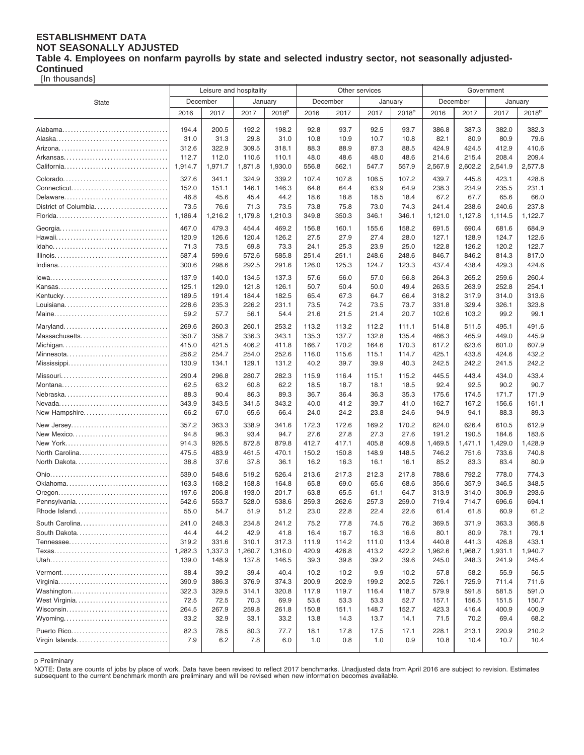#### **ESTABLISHMENT DATA NOT SEASONALLY ADJUSTED Table 4. Employees on nonfarm payrolls by state and selected industry sector, not seasonally adjusted-Continued**

[In thousands]

|                      | Leisure and hospitality |         |         |                   |       |          | Other services |                   | Government |         |         |                   |
|----------------------|-------------------------|---------|---------|-------------------|-------|----------|----------------|-------------------|------------|---------|---------|-------------------|
| <b>State</b>         | December                |         | January |                   |       | December | January        |                   | December   |         | January |                   |
|                      | 2016                    | 2017    | 2017    | 2018 <sup>p</sup> | 2016  | 2017     | 2017           | 2018 <sup>p</sup> | 2016       | 2017    | 2017    | 2018 <sup>p</sup> |
|                      |                         |         |         |                   |       |          |                |                   |            |         |         |                   |
|                      | 194.4                   | 200.5   | 192.2   | 198.2             | 92.8  | 93.7     | 92.5           | 93.7              | 386.8      | 387.3   | 382.0   | 382.3             |
|                      | 31.0                    | 31.3    | 29.8    | 31.0              | 10.8  | 10.9     | 10.7           | 10.8              | 82.1       | 80.9    | 80.9    | 79.6              |
|                      | 312.6                   | 322.9   | 309.5   | 318.1             | 88.3  | 88.9     | 87.3           | 88.5              | 424.9      | 424.5   | 412.9   | 410.6             |
|                      | 112.7                   | 112.0   | 110.6   | 110.1             | 48.0  | 48.6     | 48.0           | 48.6              | 214.6      | 215.4   | 208.4   | 209.4             |
|                      | 1,914.7                 | 1,971.7 | 1,871.8 | 1,930.0           | 556.8 | 562.1    | 547.7          | 557.9             | 2,567.9    | 2,602.2 | 2,541.9 | 2,577.8           |
|                      | 327.6                   | 341.1   | 324.9   | 339.2             | 107.4 | 107.8    | 106.5          | 107.2             | 439.7      | 445.8   | 423.1   | 428.8             |
|                      | 152.0                   | 151.1   | 146.1   | 146.3             | 64.8  | 64.4     | 63.9           | 64.9              | 238.3      | 234.9   | 235.5   | 231.1             |
|                      | 46.8                    | 45.6    | 45.4    | 44.2              | 18.6  | 18.8     | 18.5           | 18.4              | 67.2       | 67.7    | 65.6    | 66.0              |
| District of Columbia | 73.5                    | 76.6    | 71.3    | 73.5              | 73.8  | 75.8     | 73.0           | 74.3              | 241.4      | 238.6   | 240.6   | 237.8             |
|                      | 1,186.4                 | 1,216.2 | 1,179.8 | 1,210.3           | 349.8 | 350.3    | 346.1          | 346.1             | 1,121.0    | 1,127.8 | 1,114.5 | 1,122.7           |
|                      |                         |         |         |                   |       |          |                |                   |            |         |         |                   |
|                      | 467.0                   | 479.3   | 454.4   | 469.2             | 156.8 | 160.1    | 155.6          | 158.2             | 691.5      | 690.4   | 681.6   | 684.9             |
|                      | 120.9                   | 126.6   | 120.4   | 126.2             | 27.5  | 27.9     | 27.4           | 28.0              | 127.1      | 128.9   | 124.7   | 122.6             |
|                      | 71.3                    | 73.5    | 69.8    | 73.3              | 24.1  | 25.3     | 23.9           | 25.0              | 122.8      | 126.2   | 120.2   | 122.7             |
|                      | 587.4                   | 599.6   | 572.6   | 585.8             | 251.4 | 251.1    | 248.6          | 248.6             | 846.7      | 846.2   | 814.3   | 817.0             |
|                      | 300.6                   | 298.6   | 292.5   | 291.6             | 126.0 | 125.3    | 124.7          | 123.3             | 437.4      | 438.4   | 429.3   | 424.6             |
|                      | 137.9                   | 140.0   | 134.5   | 137.3             | 57.6  | 56.0     | 57.0           | 56.8              | 264.3      | 265.2   | 259.6   | 260.4             |
|                      | 125.1                   | 129.0   | 121.8   | 126.1             | 50.7  | 50.4     | 50.0           | 49.4              | 263.5      | 263.9   | 252.8   | 254.1             |
| Kentucky             | 189.5                   | 191.4   | 184.4   | 182.5             | 65.4  | 67.3     | 64.7           | 66.4              | 318.2      | 317.9   | 314.0   | 313.6             |
|                      | 228.6                   | 235.3   | 226.2   | 231.1             | 73.5  | 74.2     | 73.5           | 73.7              | 331.8      | 329.4   | 326.1   | 323.8             |
|                      | 59.2                    | 57.7    | 56.1    | 54.4              | 21.6  | 21.5     | 21.4           | 20.7              | 102.6      | 103.2   | 99.2    | 99.1              |
| Maryland             | 269.6                   | 260.3   | 260.1   | 253.2             | 113.2 | 113.2    | 112.2          | 111.1             | 514.8      | 511.5   | 495.1   | 491.6             |
| Massachusetts        | 350.7                   | 358.7   | 336.3   | 343.1             | 135.3 | 137.7    | 132.8          | 135.4             | 466.3      | 465.9   | 449.0   | 445.9             |
|                      | 415.0                   | 421.5   | 406.2   | 411.8             | 166.7 | 170.2    | 164.6          | 170.3             | 617.2      | 623.6   | 601.0   | 607.9             |
| Minnesota            | 256.2                   | 254.7   | 254.0   | 252.6             | 116.0 | 115.6    | 115.1          | 114.7             | 425.1      | 433.8   | 424.6   | 432.2             |
|                      | 130.9                   | 134.1   | 129.1   | 131.2             | 40.2  | 39.7     | 39.9           | 40.3              | 242.5      | 242.2   | 241.5   | 242.2             |
|                      | 290.4                   | 296.8   | 280.7   | 282.3             | 115.9 | 116.4    | 115.1          | 115.2             | 445.5      | 443.4   | 434.0   | 433.4             |
|                      | 62.5                    | 63.2    | 60.8    | 62.2              | 18.5  | 18.7     | 18.1           | 18.5              | 92.4       | 92.5    | 90.2    | 90.7              |
|                      | 88.3                    | 90.4    | 86.3    | 89.3              | 36.7  | 36.4     | 36.3           | 35.3              | 175.6      | 174.5   | 171.7   | 171.9             |
|                      | 343.9                   | 343.5   | 341.5   | 343.2             | 40.0  | 41.2     | 39.7           | 41.0              | 162.7      | 167.2   | 156.6   | 161.1             |
| New Hampshire        | 66.2                    | 67.0    | 65.6    | 66.4              | 24.0  | 24.2     | 23.8           | 24.6              | 94.9       | 94.1    | 88.3    | 89.3              |
|                      |                         |         |         |                   |       |          |                |                   |            |         |         |                   |
| New Jersey           | 357.2                   | 363.3   | 338.9   | 341.6             | 172.3 | 172.6    | 169.2          | 170.2             | 624.0      | 626.4   | 610.5   | 612.9             |
| New Mexico           | 94.8                    | 96.3    | 93.4    | 94.7              | 27.6  | 27.8     | 27.3           | 27.6              | 191.2      | 190.5   | 184.6   | 183.6             |
|                      | 914.3                   | 926.5   | 872.8   | 879.8             | 412.7 | 417.1    | 405.8          | 409.8             | 1,469.5    | 1,471.1 | 1,429.0 | 1,428.9           |
| North Carolina       | 475.5                   | 483.9   | 461.5   | 470.1             | 150.2 | 150.8    | 148.9          | 148.5             | 746.2      | 751.6   | 733.6   | 740.8             |
| North Dakota         | 38.8                    | 37.6    | 37.8    | 36.1              | 16.2  | 16.3     | 16.1           | 16.1              | 85.2       | 83.3    | 83.4    | 80.9              |
|                      | 539.0                   | 548.6   | 519.2   | 526.4             | 213.6 | 217.3    | 212.3          | 217.8             | 788.6      | 792.2   | 778.0   | 774.3             |
|                      | 163.3                   | 168.2   | 158.8   | 164.8             | 65.8  | 69.0     | 65.6           | 68.6              | 356.6      | 357.9   | 346.5   | 348.5             |
|                      | 197.6                   | 206.8   | 193.0   | 201.7             | 63.8  | 65.5     | 61.1           | 64.7              | 313.9      | 314.0   | 306.9   | 293.6             |
| Pennsylvania         | 542.6                   | 553.7   | 528.0   | 538.6             | 259.3 | 262.6    | 257.3          | 259.0             | 719.4      | 714.7   | 696.6   | 694.1             |
| Rhode Island         | 55.0                    | 54.7    | 51.9    | 51.2              | 23.0  | 22.8     | 22.4           | 22.6              | 61.4       | 61.8    | 60.9    | 61.2              |
| South Carolina       | 241.0                   | 248.3   | 234.8   | 241.2             | 75.2  | 77.8     | 74.5           | 76.2              | 369.5      | 371.9   | 363.3   | 365.8             |
| South Dakota         | 44.4                    | 44.2    | 42.9    | 41.8              | 16.4  | 16.7     | 16.3           | 16.6              | 80.1       | 80.9    | 78.1    | 79.1              |
|                      | 319.2                   | 331.6   | 310.1   | 317.3             | 111.9 | 114.2    | 111.0          | 113.4             | 440.8      | 441.3   | 426.8   | 433.1             |
|                      | 1,282.3                 | 1,337.3 | 1,260.7 | 1,316.0           | 420.9 | 426.8    | 413.2          | 422.2             | 1,962.6    | 1,968.7 | 1,931.1 | 1,940.7           |
|                      | 139.0                   | 148.9   | 137.8   | 146.5             | 39.3  | 39.8     | 39.2           | 39.6              | 245.0      | 248.3   | 241.9   | 245.4             |
|                      | 38.4                    | 39.2    | 39.4    | 40.4              | 10.2  | 10.2     | 9.9            | 10.2              | 57.8       | 58.2    | 55.9    | 56.5              |
|                      | 390.9                   | 386.3   | 376.9   | 374.3             | 200.9 | 202.9    | 199.2          | 202.5             | 726.1      | 725.9   | 711.4   | 711.6             |
|                      | 322.3                   | 329.5   | 314.1   | 320.8             | 117.9 | 119.7    | 116.4          | 118.7             | 579.9      | 591.8   | 581.5   | 591.0             |
| West Virginia        | 72.5                    | 72.5    | 70.3    | 69.9              | 53.6  | 53.3     | 53.3           | 52.7              | 157.1      | 156.5   | 151.5   | 150.7             |
|                      | 264.5                   | 267.9   | 259.8   | 261.8             | 150.8 | 151.1    | 148.7          | 152.7             | 423.3      | 416.4   | 400.9   | 400.9             |
|                      | 33.2                    | 32.9    | 33.1    | 33.2              | 13.8  | 14.3     | 13.7           | 14.1              | 71.5       | 70.2    | 69.4    | 68.2              |
|                      |                         |         |         |                   |       |          |                |                   |            |         |         |                   |
| Puerto Rico          | 82.3                    | 78.5    | 80.3    | 77.7              | 18.1  | 17.8     | 17.5           | 17.1              | 228.1      | 213.1   | 220.9   | 210.2             |
| Virgin Islands       | 7.9                     | 6.2     | 7.8     | 6.0               | 1.0   | 0.8      | 1.0            | 0.9               | 10.8       | 10.4    | 10.7    | 10.4              |
|                      |                         |         |         |                   |       |          |                |                   |            |         |         |                   |

p Preliminary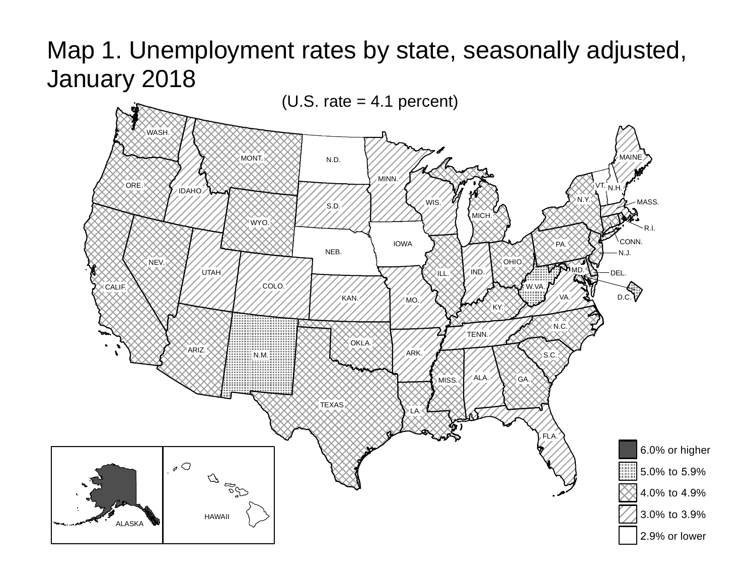# Map 1. Unemployment rates by state, seasonally adjusted, January 2018